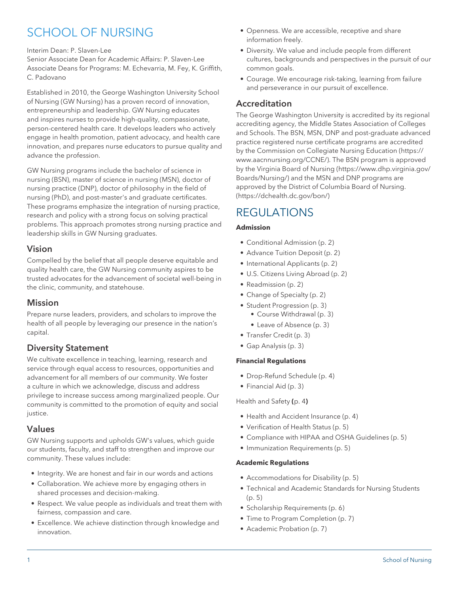# SCHOOL OF NURSING

#### Interim Dean: P. Slaven-Lee

Senior Associate Dean for Academic Affairs: P. Slaven-Lee Associate Deans for Programs: M. Echevarria, M. Fey, K. Griffith, C. Padovano

Established in 2010, the George Washington University School of Nursing (GW Nursing) has a proven record of innovation, entrepreneurship and leadership. GW Nursing educates and inspires nurses to provide high-quality, compassionate, person-centered health care. It develops leaders who actively engage in health promotion, patient advocacy, and health care innovation, and prepares nurse educators to pursue quality and advance the profession.

GW Nursing programs include the bachelor of science in nursing (BSN), master of science in nursing (MSN), doctor of nursing practice (DNP), doctor of philosophy in the field of nursing (PhD), and post-master's and graduate certificates. These programs emphasize the integration of nursing practice, research and policy with a strong focus on solving practical problems. This approach promotes strong nursing practice and leadership skills in GW Nursing graduates.

### Vision

Compelled by the belief that all people deserve equitable and quality health care, the GW Nursing community aspires to be trusted advocates for the advancement of societal well-being in the clinic, community, and statehouse.

### Mission

Prepare nurse leaders, providers, and scholars to improve the health of all people by leveraging our presence in the nation's capital.

# Diversity Statement

We cultivate excellence in teaching, learning, research and service through equal access to resources, opportunities and advancement for all members of our community. We foster a culture in which we acknowledge, discuss and address privilege to increase success among marginalized people. Our community is committed to the promotion of equity and social justice.

### Values

GW Nursing supports and upholds GW's values, which guide our students, faculty, and staff to strengthen and improve our community. These values include:

- Integrity. We are honest and fair in our words and actions
- Collaboration. We achieve more by engaging others in shared processes and decision-making.
- Respect. We value people as individuals and treat them with fairness, compassion and care.
- Excellence. We achieve distinction through knowledge and innovation.
- Openness. We are accessible, receptive and share information freely.
- Diversity. We value and include people from different cultures, backgrounds and perspectives in the pursuit of our common goals.
- Courage. We encourage risk-taking, learning from failure and perseverance in our pursuit of excellence.

# Accreditation

The George Washington University is accredited by its regional accrediting agency, the Middle States Association of Colleges and Schools. The BSN, MSN, DNP and post-graduate advanced practice registered nurse certificate programs are accredited by the [Commission on Collegiate Nursing Education](https://www.aacnnursing.org/CCNE/) ([https://](https://www.aacnnursing.org/CCNE/) [www.aacnnursing.org/CCNE/](https://www.aacnnursing.org/CCNE/)). The BSN program is approved by the [Virginia Board of Nursing](https://www.dhp.virginia.gov/Boards/Nursing/) ([https://www.dhp.virginia.gov/](https://www.dhp.virginia.gov/Boards/Nursing/) [Boards/Nursing/](https://www.dhp.virginia.gov/Boards/Nursing/)) and the MSN and DNP programs are approved by the [District of Columbia Board of Nursing.](https://dchealth.dc.gov/bon/) (<https://dchealth.dc.gov/bon/>)

# **REGULATIONS**

#### **Admission**

- [Conditional Admission \(p. 2](#page-1-0))
- [Advance Tuition Deposit](#page-1-1) [\(p. 2\)](#page-1-1)
- [International Applicants](#page-1-2) ([p. 2](#page-1-2))
- [U.S. Citizens Living Abroad](#page-1-3) ([p. 2](#page-1-3))
- [Readmission](#page-1-4) [\(p. 2\)](#page-1-4)
- [Change of Specialty](#page-1-5) [\(p. 2\)](#page-1-5)
- [Student Progression](#page-2-0) [\(p. 3\)](#page-2-0)
	- [Course Withdrawal \(p. 3\)](#page-2-1)
	- [Leave of Absence](#page-2-2) ([p. 3](#page-2-2))
- [Transfer Credit](#page-2-3) [\(p. 3\)](#page-2-3)
- [Gap Analysis](#page-2-4) ([p. 3](#page-2-4))

#### **Financial Regulations**

- [Drop-Refund Schedule](#page-3-0) [\(p. 4\)](#page-3-0)
- [Financial Aid](#page-2-5) ([p. 3](#page-2-5))

[Health and Safety](#page-3-1) **(**[p. 4](#page-3-1)**)**

- [Health and Accident Insurance \(p. 4](#page-3-2))
- [Verification of Health Status](#page-4-0) ([p. 5](#page-4-0))
- [Compliance with HIPAA and OSHA Guidelines](#page-4-1) [\(p. 5\)](#page-4-1)
- [Immunization Requirements](#page-4-2) [\(p. 5\)](#page-4-2)

#### **Academic Regulations**

- [Accommodations for Disability](#page-4-3) [\(p. 5\)](#page-4-3)
- [Technical and Academic Standards for Nursing Students](#page-4-4) ([p. 5](#page-4-4))
- [Scholarship Requirements](#page-5-0) [\(p. 6\)](#page-5-0)
- [Time to Program Completion](#page-6-0) [\(p. 7\)](#page-6-0)
- [Academic Probation](#page-6-1) ([p. 7](#page-6-1))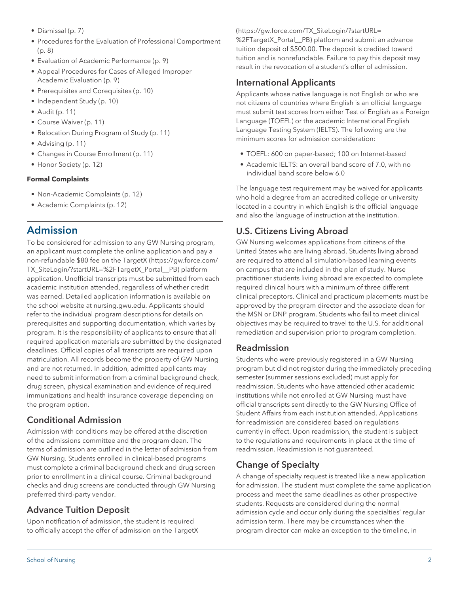- [Dismissal](#page-6-2) [\(p. 7\)](#page-6-2)
- [Procedures for the Evaluation of Professional Comportment](#page-7-0) ([p. 8](#page-7-0))
- [Evaluation of Academic Performance](#page-8-0) [\(p. 9\)](#page-8-0)
- [Appeal Procedures for Cases of Alleged Improper](#page-8-1) [Academic Evaluation](#page-8-1) [\(p. 9\)](#page-8-1)
- [Prerequisites and Corequisites \(p. 10](#page-9-0))
- [Independent Study](#page-9-1) ([p. 10\)](#page-9-1)
- [Audit](#page-10-0) [\(p. 11](#page-10-0))
- [Course Waiver](#page-10-1) [\(p. 11](#page-10-1))
- [Relocation During Program of Study](#page-10-2) ([p. 11\)](#page-10-2)
- [Advising](#page-10-3) ([p. 11\)](#page-10-3)
- [Changes in Course Enrollment](#page-10-4) [\(p. 11](#page-10-4))
- [Honor Society](#page-11-0) ([p. 12\)](#page-11-0)

#### **Formal Complaints**

- [Non-Academic Complaints](#page-11-1) ([p. 12\)](#page-11-1)
- [Academic Complaints](#page-11-2) [\(p. 12](#page-11-2))

# Admission

To be considered for admission to any GW Nursing program, an applicant must complete the online application and pay a non-refundable \$80 fee on the [TargetX](https://gw.force.com/TX_SiteLogin/?startURL=%2FTargetX_Portal__PB) ([https://gw.force.com/](https://gw.force.com/TX_SiteLogin/?startURL=%2FTargetX_Portal__PB) [TX\\_SiteLogin/?startURL=%2FTargetX\\_Portal\\_\\_PB\)](https://gw.force.com/TX_SiteLogin/?startURL=%2FTargetX_Portal__PB) platform application. Unofficial transcripts must be submitted from each academic institution attended, regardless of whether credit was earned. Detailed application information is available on the school website at nursing.gwu.edu. Applicants should refer to the individual program descriptions for details on prerequisites and supporting documentation, which varies by program. It is the responsibility of applicants to ensure that all required application materials are submitted by the designated deadlines. Official copies of all transcripts are required upon matriculation. All records become the property of GW Nursing and are not returned. In addition, admitted applicants may need to submit information from a criminal background check, drug screen, physical examination and evidence of required immunizations and health insurance coverage depending on the program option.

# <span id="page-1-0"></span>Conditional Admission

Admission with conditions may be offered at the discretion of the admissions committee and the program dean. The terms of admission are outlined in the letter of admission from GW Nursing. Students enrolled in clinical-based programs must complete a criminal background check and drug screen prior to enrollment in a clinical course. Criminal background checks and drug screens are conducted through GW Nursing preferred third-party vendor.

### <span id="page-1-1"></span>Advance Tuition Deposit

Upon notification of admission, the student is required to officially accept the offer of admission on the [TargetX](https://gw.force.com/TX_SiteLogin/?startURL=%2FTargetX_Portal__PB) ([https://gw.force.com/TX\\_SiteLogin/?startURL=](https://gw.force.com/TX_SiteLogin/?startURL=%2FTargetX_Portal__PB) [%2FTargetX\\_Portal\\_\\_PB\)](https://gw.force.com/TX_SiteLogin/?startURL=%2FTargetX_Portal__PB) platform and submit an advance tuition deposit of \$500.00. The deposit is credited toward tuition and is nonrefundable. Failure to pay this deposit may result in the revocation of a student's offer of admission.

### <span id="page-1-2"></span>International Applicants

Applicants whose native language is not English or who are not citizens of countries where English is an official language must submit test scores from either Test of English as a Foreign Language (TOEFL) or the academic International English Language Testing System (IELTS). The following are the minimum scores for admission consideration:

- TOEFL: 600 on paper-based; 100 on Internet-based
- Academic IELTS: an overall band score of 7.0, with no individual band score below 6.0

The language test requirement may be waived for applicants who hold a degree from an accredited college or university located in a country in which English is the official language and also the language of instruction at the institution.

# <span id="page-1-3"></span>U.S. Citizens Living Abroad

GW Nursing welcomes applications from citizens of the United States who are living abroad. Students living abroad are required to attend all simulation-based learning events on campus that are included in the plan of study. Nurse practitioner students living abroad are expected to complete required clinical hours with a minimum of three different clinical preceptors. Clinical and practicum placements must be approved by the program director and the associate dean for the MSN or DNP program. Students who fail to meet clinical objectives may be required to travel to the U.S. for additional remediation and supervision prior to program completion.

### <span id="page-1-4"></span>Readmission

Students who were previously registered in a GW Nursing program but did not register during the immediately preceding semester (summer sessions excluded) must apply for readmission. Students who have attended other academic institutions while not enrolled at GW Nursing must have official transcripts sent directly to the GW Nursing Office of Student Affairs from each institution attended. Applications for readmission are considered based on regulations currently in effect. Upon readmission, the student is subject to the regulations and requirements in place at the time of readmission. Readmission is not guaranteed.

### <span id="page-1-5"></span>Change of Specialty

A change of specialty request is treated like a new application for admission. The student must complete the same application process and meet the same deadlines as other prospective students. Requests are considered during the normal admission cycle and occur only during the specialties' regular admission term. There may be circumstances when the program director can make an exception to the timeline, in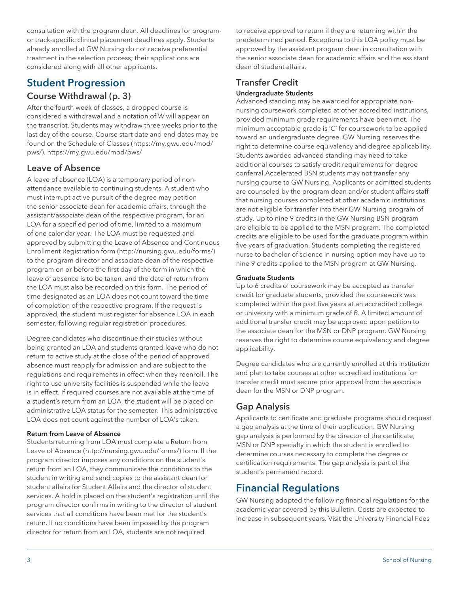consultation with the program dean. All deadlines for programor track-specific clinical placement deadlines apply. Students already enrolled at GW Nursing do not receive preferential treatment in the selection process; their applications are considered along with all other applicants.

# <span id="page-2-1"></span><span id="page-2-0"></span>Student Progression

# [Course Withdrawal](#page-2-1) ([p. 3\)](#page-2-1)

After the fourth week of classes, a dropped course is considered a withdrawal and a notation of *W* will appear on the transcript. Students may withdraw three weeks prior to the last day of the course. Course start date and end dates may be found on the [Schedule of Classes](https://my.gwu.edu/mod/pws/) ([https://my.gwu.edu/mod/](https://my.gwu.edu/mod/pws/) [pws/\)](https://my.gwu.edu/mod/pws/). https://my.gwu.edu/mod/pws/

### <span id="page-2-2"></span>Leave of Absence

A leave of absence (LOA) is a temporary period of nonattendance available to continuing students. A student who must interrupt active pursuit of the degree may petition the senior associate dean for academic affairs, through the assistant/associate dean of the respective program, for an LOA for a specified period of time, limited to a maximum of one calendar year. The LOA must be requested and approved by submitting the [Leave of Absence and Continuous](http://nursing.gwu.edu/forms/) [Enrollment Registration form](http://nursing.gwu.edu/forms/) [\(http://nursing.gwu.edu/forms/](http://nursing.gwu.edu/forms/)) to the program director and associate dean of the respective program on or before the first day of the term in which the leave of absence is to be taken, and the date of return from the LOA must also be recorded on this form. The period of time designated as an LOA does not count toward the time of completion of the respective program. If the request is approved, the student must register for absence LOA in each semester, following regular registration procedures.

Degree candidates who discontinue their studies without being granted an LOA and students granted leave who do not return to active study at the close of the period of approved absence must reapply for admission and are subject to the regulations and requirements in effect when they reenroll. The right to use university facilities is suspended while the leave is in effect. If required courses are not available at the time of a student's return from an LOA, the student will be placed on administrative LOA status for the semester. This administrative LOA does not count against the number of LOA's taken.

#### Return from Leave of Absence

Students returning from LOA must complete a [Return from](http://nursing.gwu.edu/forms/) [Leave of Absence](http://nursing.gwu.edu/forms/) (<http://nursing.gwu.edu/forms/>) form. If the program director imposes any conditions on the student's return from an LOA, they communicate the conditions to the student in writing and send copies to the assistant dean for student affairs for Student Affairs and the director of student services. A hold is placed on the student's registration until the program director confirms in writing to the director of student services that all conditions have been met for the student's return. If no conditions have been imposed by the program director for return from an LOA, students are not required

to receive approval to return if they are returning within the predetermined period. Exceptions to this LOA policy must be approved by the assistant program dean in consultation with the senior associate dean for academic affairs and the assistant dean of student affairs.

# <span id="page-2-3"></span>Transfer Credit

#### Undergraduate Students

Advanced standing may be awarded for appropriate nonnursing coursework completed at other accredited institutions, provided minimum grade requirements have been met. The minimum acceptable grade is '*C*' for coursework to be applied toward an undergraduate degree. GW Nursing reserves the right to determine course equivalency and degree applicability. Students awarded advanced standing may need to take additional courses to satisfy credit requirements for degree conferral.Accelerated BSN students may not transfer any nursing course to GW Nursing. Applicants or admitted students are counseled by the program dean and/or student affairs staff that nursing courses completed at other academic institutions are not eligible for transfer into their GW Nursing program of study. Up to nine 9 credits in the GW Nursing BSN program are eligible to be applied to the MSN program. The completed credits are eligible to be used for the graduate program within five years of graduation. Students completing the registered nurse to bachelor of science in nursing option may have up to nine 9 credits applied to the MSN program at GW Nursing.

#### Graduate Students

Up to 6 credits of coursework may be accepted as transfer credit for graduate students, provided the coursework was completed within the past five years at an accredited college or university with a minimum grade of *B*. A limited amount of additional transfer credit may be approved upon petition to the associate dean for the MSN or DNP program. GW Nursing reserves the right to determine course equivalency and degree applicability.

Degree candidates who are currently enrolled at this institution and plan to take courses at other accredited institutions for transfer credit must secure prior approval from the associate dean for the MSN or DNP program.

# <span id="page-2-4"></span>Gap Analysis

Applicants to certificate and graduate programs should request a gap analysis at the time of their application. GW Nursing gap analysis is performed by the director of the certificate, MSN or DNP specialty in which the student is enrolled to determine courses necessary to complete the degree or certification requirements. The gap analysis is part of the student's permanent record.

# <span id="page-2-5"></span>Financial Regulations

GW Nursing adopted the following financial regulations for the academic year covered by this Bulletin. Costs are expected to increase in subsequent years. Visit the University [Financial Fees](http://bulletin.gwu.edu/fees-financial-regulations/)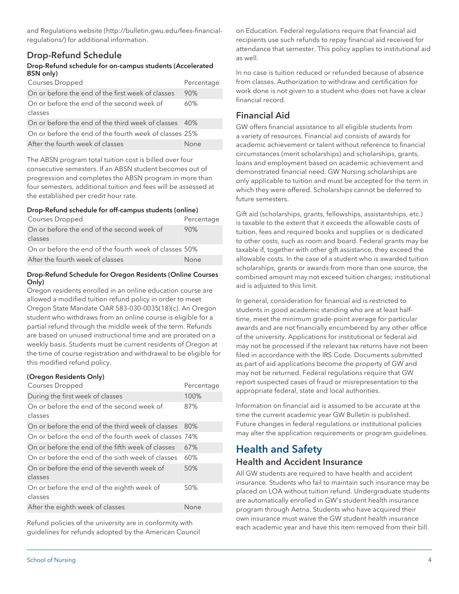[and Regulations website](http://bulletin.gwu.edu/fees-financial-regulations/) [\(http://bulletin.gwu.edu/fees-financial](http://bulletin.gwu.edu/fees-financial-regulations/)[regulations/\)](http://bulletin.gwu.edu/fees-financial-regulations/) for additional information.

# <span id="page-3-0"></span>Drop-Refund Schedule

#### Drop-Refund schedule for on-campus students (Accelerated BSN only)

| <b>Courses Dropped</b>                                 | Percentage |
|--------------------------------------------------------|------------|
| On or before the end of the first week of classes      | 90%        |
| On or before the end of the second week of<br>classes  | 60%        |
| On or before the end of the third week of classes 40%  |            |
| On or before the end of the fourth week of classes 25% |            |
| After the fourth week of classes                       | None       |

The ABSN program total tuition cost is billed over four consecutive semesters. If an ABSN student becomes out of progression and completes the ABSN program in more than four semesters, additional tuition and fees will be assessed at the established per credit hour rate*.* 

#### Drop-Refund schedule for off-campus students (online)

| Courses Dropped                                        | Percentage |
|--------------------------------------------------------|------------|
| On or before the end of the second week of             | 90%        |
| classes                                                |            |
| On or before the end of the fourth week of classes 50% |            |
| After the fourth week of classes                       | None       |

#### Drop-Refund Schedule for Oregon Residents (Online Courses Only)

Oregon residents enrolled in an online education course are allowed a modified tuition refund policy in order to meet Oregon State Mandate OAR 583-030-0035(18)(c). An Oregon student who withdraws from an online course is eligible for a partial refund through the middle week of the term. Refunds are based on unused instructional time and are prorated on a weekly basis. Students must be current residents of Oregon at the time of course registration and withdrawal to be eligible for this modified refund policy.

#### (Oregon Residents Only)

| Courses Dropped                                        | Percentage |
|--------------------------------------------------------|------------|
| During the first week of classes                       | 100%       |
| On or before the end of the second week of<br>classes  | 87%        |
| On or before the end of the third week of classes      | 80%        |
| On or before the end of the fourth week of classes 74% |            |
| On or before the end of the fifth week of classes      | 67%        |
| On or before the end of the sixth week of classes      | 60%        |
| On or before the end of the seventh week of<br>classes | 50%        |
| On or before the end of the eighth week of<br>classes  | 50%        |
| After the eighth week of classes                       | None       |

Refund policies of the university are in conformity with guidelines for refunds adopted by the American Council on Education. Federal regulations require that financial aid recipients use such refunds to repay financial aid received for attendance that semester. This policy applies to institutional aid as well.

In no case is tuition reduced or refunded because of absence from classes. Authorization to withdraw and certification for work done is not given to a student who does not have a clear financial record.

## Financial Aid

GW offers financial assistance to all eligible students from a variety of resources. Financial aid consists of awards for academic achievement or talent without reference to financial circumstances (merit scholarships) and scholarships, grants, loans and employment based on academic achievement and demonstrated financial need. GW Nursing scholarships are only applicable to tuition and must be accepted for the term in which they were offered. Scholarships cannot be deferred to future semesters.

Gift aid (scholarships, grants, fellowships, assistantships, etc.) is taxable to the extent that it exceeds the allowable costs of tuition, fees and required books and supplies or is dedicated to other costs, such as room and board. Federal grants may be taxable if, together with other gift assistance, they exceed the allowable costs. In the case of a student who is awarded tuition scholarships, grants or awards from more than one source, the combined amount may not exceed tuition charges; institutional aid is adjusted to this limit.

In general, consideration for financial aid is restricted to students in good academic standing who are at least halftime, meet the minimum grade-point average for particular awards and are not financially encumbered by any other office of the university. Applications for institutional or federal aid may not be processed if the relevant tax returns have not been filed in accordance with the IRS Code. Documents submitted as part of aid applications become the property of GW and may not be returned. Federal regulations require that GW report suspected cases of fraud or misrepresentation to the appropriate federal, state and local authorities.

Information on financial aid is assumed to be accurate at the time the current academic year GW Bulletin is published. Future changes in federal regulations or institutional policies may alter the application requirements or program guidelines.

# <span id="page-3-2"></span><span id="page-3-1"></span>Health and Safety Health and Accident Insurance

All GW students are required to have health and accident insurance. Students who fail to maintain such insurance may be placed on LOA without tuition refund. Undergraduate students are automatically enrolled in GW's student health insurance program through Aetna. Students who have acquired their own insurance must waive the GW student health insurance each academic year and have this item removed from their bill.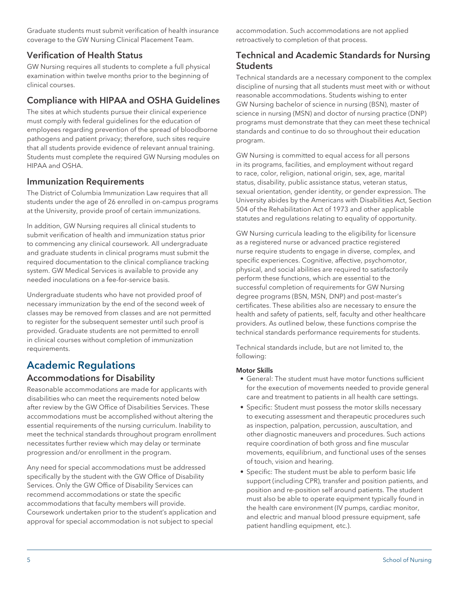Graduate students must submit verification of health insurance coverage to the GW Nursing Clinical Placement Team.

# <span id="page-4-0"></span>Verification of Health Status

GW Nursing requires all students to complete a full physical examination within twelve months prior to the beginning of clinical courses.

# <span id="page-4-1"></span>Compliance with HIPAA and OSHA Guidelines

The sites at which students pursue their clinical experience must comply with federal guidelines for the education of employees regarding prevention of the spread of bloodborne pathogens and patient privacy; therefore, such sites require that all students provide evidence of relevant annual training. Students must complete the required GW Nursing modules on HIPAA and OSHA.

# <span id="page-4-2"></span>Immunization Requirements

The District of Columbia Immunization Law requires that all students under the age of 26 enrolled in on-campus programs at the University, provide proof of certain immunizations.

In addition, GW Nursing requires all clinical students to submit verification of health and immunization status prior to commencing any clinical coursework. All undergraduate and graduate students in clinical programs must submit the required documentation to the clinical compliance tracking system. GW Medical Services is available to provide any needed inoculations on a fee-for-service basis.

Undergraduate students who have not provided proof of necessary immunization by the end of the second week of classes may be removed from classes and are not permitted to register for the subsequent semester until such proof is provided. Graduate students are not permitted to enroll in clinical courses without completion of immunization requirements.

# <span id="page-4-3"></span>Academic Regulations

# Accommodations for Disability

Reasonable accommodations are made for applicants with disabilities who can meet the requirements noted below after review by the GW Office of Disabilities Services. These accommodations must be accomplished without altering the essential requirements of the nursing curriculum. Inability to meet the technical standards throughout program enrollment necessitates further review which may delay or terminate progression and/or enrollment in the program.

Any need for special accommodations must be addressed specifically by the student with the GW Office of Disability Services. Only the GW Office of Disability Services can recommend accommodations or state the specific accommodations that faculty members will provide. Coursework undertaken prior to the student's application and approval for special accommodation is not subject to special

accommodation. Such accommodations are not applied retroactively to completion of that process.

# <span id="page-4-4"></span>Technical and Academic Standards for Nursing **Students**

Technical standards are a necessary component to the complex discipline of nursing that all students must meet with or without reasonable accommodations. Students wishing to enter GW Nursing bachelor of science in nursing (BSN), master of science in nursing (MSN) and doctor of nursing practice (DNP) programs must demonstrate that they can meet these technical standards and continue to do so throughout their education program.

GW Nursing is committed to equal access for all persons in its programs, facilities, and employment without regard to race, color, religion, national origin, sex, age, marital status, disability, public assistance status, veteran status, sexual orientation, gender identity, or gender expression. The University abides by the Americans with Disabilities Act, Section 504 of the Rehabilitation Act of 1973 and other applicable statutes and regulations relating to equality of opportunity.

GW Nursing curricula leading to the eligibility for licensure as a registered nurse or advanced practice registered nurse require students to engage in diverse, complex, and specific experiences. Cognitive, affective, psychomotor, physical, and social abilities are required to satisfactorily perform these functions, which are essential to the successful completion of requirements for GW Nursing degree programs (BSN, MSN, DNP) and post-master's certificates. These abilities also are necessary to ensure the health and safety of patients, self, faculty and other healthcare providers. As outlined below, these functions comprise the technical standards performance requirements for students.

Technical standards include, but are not limited to, the following:

#### Motor Skills

- General: The student must have motor functions sufficient for the execution of movements needed to provide general care and treatment to patients in all health care settings.
- Specific: Student must possess the motor skills necessary to executing assessment and therapeutic procedures such as inspection, palpation, percussion, auscultation, and other diagnostic maneuvers and procedures. Such actions require coordination of both gross and fine muscular movements, equilibrium, and functional uses of the senses of touch, vision and hearing.
- Specific: The student must be able to perform basic life support (including CPR), transfer and position patients, and position and re-position self around patients. The student must also be able to operate equipment typically found in the health care environment (IV pumps, cardiac monitor, and electric and manual blood pressure equipment, safe patient handling equipment, etc.).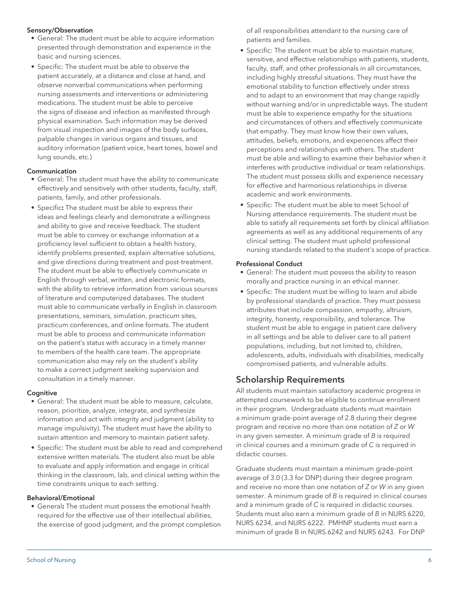#### Sensory/Observation

- General: The student must be able to acquire information presented through demonstration and experience in the basic and nursing sciences.
- Specific: The student must be able to observe the patient accurately, at a distance and close at hand, and observe nonverbal communications when performing nursing assessments and interventions or administering medications. The student must be able to perceive the signs of disease and infection as manifested through physical examination. Such information may be derived from visual inspection and images of the body surfaces, palpable changes in various organs and tissues, and auditory information (patient voice, heart tones, bowel and lung sounds, etc.)

#### Communication

- General: The student must have the ability to communicate effectively and sensitively with other students, faculty, staff, patients, family, and other professionals.
- Specific**:** The student must be able to express their ideas and feelings clearly and demonstrate a willingness and ability to give and receive feedback. The student must be able to convey or exchange information at a proficiency level sufficient to obtain a health history, identify problems presented, explain alternative solutions, and give directions during treatment and post-treatment. The student must be able to effectively communicate in English through verbal, written, and electronic formats, with the ability to retrieve information from various sources of literature and computerized databases. The student must able to communicate verbally in English in classroom presentations, seminars, simulation, practicum sites, practicum conferences, and online formats. The student must be able to process and communicate information on the patient's status with accuracy in a timely manner to members of the health care team. The appropriate communication also may rely on the student's ability to make a correct judgment seeking supervision and consultation in a timely manner.

#### **Cognitive**

- General: The student must be able to measure, calculate, reason, prioritize, analyze, integrate, and synthesize information and act with integrity and judgment (ability to manage impulsivity). The student must have the ability to sustain attention and memory to maintain patient safety.
- Specific: The student must be able to read and comprehend extensive written materials. The student also must be able to evaluate and apply information and engage in critical thinking in the classroom, lab, and clinical setting within the time constraints unique to each setting.

#### Behavioral/Emotional

• General**:** The student must possess the emotional health required for the effective use of their intellectual abilities, the exercise of good judgment, and the prompt completion of all responsibilities attendant to the nursing care of patients and families.

- Specific: The student must be able to maintain mature, sensitive, and effective relationships with patients, students, faculty, staff, and other professionals in all circumstances, including highly stressful situations. They must have the emotional stability to function effectively under stress and to adapt to an environment that may change rapidly without warning and/or in unpredictable ways. The student must be able to experience empathy for the situations and circumstances of others and effectively communicate that empathy. They must know how their own values, attitudes, beliefs, emotions, and experiences affect their perceptions and relationships with others. The student must be able and willing to examine their behavior when it interferes with productive individual or team relationships. The student must possess skills and experience necessary for effective and harmonious relationships in diverse academic and work environments.
- Specific: The student must be able to meet School of Nursing attendance requirements. The student must be able to satisfy all requirements set forth by clinical affiliation agreements as well as any additional requirements of any clinical setting. The student must uphold professional nursing standards related to the student's scope of practice.

#### Professional Conduct

- General: The student must possess the ability to reason morally and practice nursing in an ethical manner.
- Specific: The student must be willing to learn and abide by professional standards of practice. They must possess attributes that include compassion, empathy, altruism, integrity, honesty, responsibility, and tolerance. The student must be able to engage in patient care delivery in all settings and be able to deliver care to all patient populations, including, but not limited to, children, adolescents, adults, individuals with disabilities, medically compromised patients, and vulnerable adults.

#### <span id="page-5-0"></span>Scholarship Requirements

All students must maintain satisfactory academic progress in attempted coursework to be eligible to continue enrollment in their program. Undergraduate students must maintain a minimum grade-point average of 2.8 during their degree program and receive no more than one notation of *Z* or *W* in any given semester. A minimum grade of *B* is required in clinical courses and a minimum grade of *C* is required in didactic courses.

Graduate students must maintain a minimum grade-point average of 3.0 (3.3 for DNP) during their degree program and receive no more than one notation of *Z* or *W* in any given semester. A minimum grade of *B* is required in clinical courses and a minimum grade of *C* is required in didactic courses. Students must also earn a minimum grade of *B* in NURS 6220, NURS 6234, and NURS 6222. PMHNP students must earn a minimum of grade B in NURS 6242 and NURS 6243. For DNP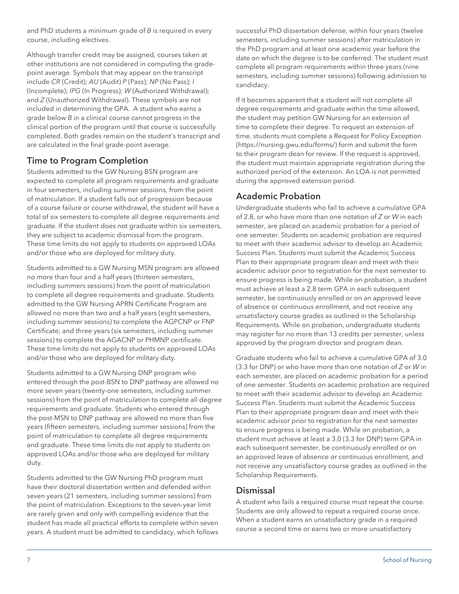and PhD students a minimum grade of *B* is required in every course, including electives.

Although transfer credit may be assigned, courses taken at other institutions are not considered in computing the gradepoint average. Symbols that may appear on the transcript include *CR* (Credit); *AU* (Audit) *P* (Pass); *NP* (No Pass); *I* (Incomplete); *IPG* (In Progress); *W* (Authorized Withdrawal); and *Z* (Unauthorized Withdrawal). These symbols are not included in determining the GPA. A student who earns a grade below *B* in a clinical course cannot progress in the clinical portion of the program until that course is successfully completed. Both grades remain on the student's transcript and are calculated in the final grade-point average.

# <span id="page-6-0"></span>Time to Program Completion

Students admitted to the GW Nursing BSN program are expected to complete all program requirements and graduate in four semesters, including summer sessions, from the point of matriculation. If a student falls out of progression because of a course failure or course withdrawal, the student will have a total of six semesters to complete all degree requirements and graduate. If the student does not graduate within six semesters, they are subject to academic dismissal from the program. These time limits do not apply to students on approved LOAs and/or those who are deployed for military duty.

Students admitted to a GW Nursing MSN program are allowed no more than four and a half years (thirteen semesters, including summers sessions) from the point of matriculation to complete all degree requirements and graduate. Students admitted to the GW Nursing APRN Certificate Program are allowed no more than two and a half years (eight semesters, including summer sessions) to complete the AGPCNP or FNP Certificate; and three years (six semesters, including summer sessions) to complete the AGACNP or PHMNP certificate. These time limits do not apply to students on approved LOAs and/or those who are deployed for military duty.

Students admitted to a GW Nursing DNP program who entered through the post-BSN to DNP pathway are allowed no more seven years (twenty-one semesters, including summer sessions) from the point of matriculation to complete all degree requirements and graduate. Students who entered through the post-MSN to DNP pathway are allowed no more than five years (fifteen semesters, including summer sessions] from the point of matriculation to complete all degree requirements and graduate. These time limits do not apply to students on approved LOAs and/or those who are deployed for military duty.

Students admitted to the GW Nursing PhD program must have their doctoral dissertation written and defended within seven years (21 semesters, including summer sessions) from the point of matriculation. Exceptions to the seven-year limit are rarely given and only with compelling evidence that the student has made all practical efforts to complete within seven years. A student must be admitted to candidacy, which follows

successful PhD dissertation defense, within four years (twelve semesters, including summer sessions) after matriculation in the PhD program and at least one academic year before the date on which the degree is to be conferred. The student must complete all program requirements within three years (nine semesters, including summer sessions) following admission to candidacy.

If it becomes apparent that a student will not complete all degree requirements and graduate within the time allowed, the student may petition GW Nursing for an extension of time to complete their degree. To request an extension of time, students must complete a [Request for Policy Exception](https://nursing.gwu.edu/forms/) (<https://nursing.gwu.edu/forms/>) form and submit the form to their program dean for review. If the request is approved, the student must maintain appropriate registration during the authorized period of the extension. An LOA is not permitted during the approved extension period.

# <span id="page-6-1"></span>Academic Probation

Undergraduate students who fail to achieve a cumulative GPA of 2.8, or who have more than one notation of *Z* or *W* in each semester, are placed on academic probation for a period of one semester. Students on academic probation are required to meet with their academic advisor to develop an Academic Success Plan. Students must submit the Academic Success Plan to their appropriate program dean and meet with their academic advisor prior to registration for the next semester to ensure progress is being made. While on probation, a student must achieve at least a 2.8 term GPA in each subsequent semester, be continuously enrolled or on an approved leave of absence or continuous enrollment, and not receive any unsatisfactory course grades as outlined in the Scholarship Requirements. While on probation, undergraduate students may register for no more than 13 credits per semester, unless approved by the program director and program dean.

Graduate students who fail to achieve a cumulative GPA of 3.0 (3.3 for DNP) or who have more than one notation of *Z* or *W* in each semester, are placed on academic probation for a period of one semester. Students on academic probation are required to meet with their academic advisor to develop an Academic Success Plan. Students must submit the Academic Success Plan to their appropriate program dean and meet with their academic advisor prior to registration for the next semester to ensure progress is being made. While on probation, a student must achieve at least a 3.0 (3.3 for DNP) term GPA in each subsequent semester, be continuously enrolled or on an approved leave of absence or continuous enrollment, and not receive any unsatisfactory course grades as outlined in the Scholarship Requirements.

# <span id="page-6-2"></span>**Dismissal**

A student who fails a required course must repeat the course. Students are only allowed to repeat a required course once. When a student earns an unsatisfactory grade in a required course a second time or earns two or more unsatisfactory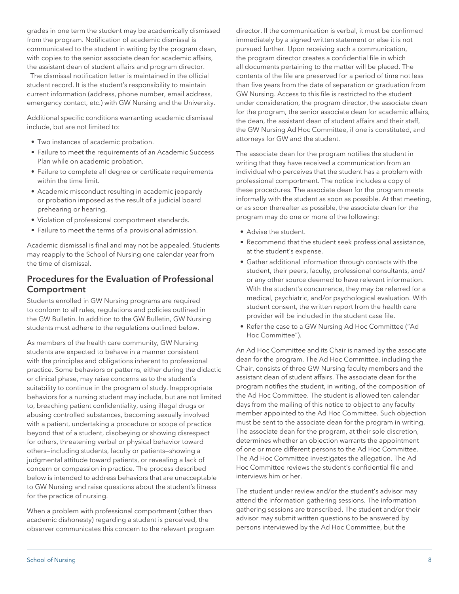grades in one term the student may be academically dismissed from the program. Notification of academic dismissal is communicated to the student in writing by the program dean, with copies to the senior associate dean for academic affairs, the assistant dean of student affairs and program director.

 The dismissal notification letter is maintained in the official student record. It is the student's responsibility to maintain current information (address, phone number, email address, emergency contact, etc.) with GW Nursing and the University.

Additional specific conditions warranting academic dismissal include, but are not limited to:

- Two instances of academic probation.
- Failure to meet the requirements of an Academic Success Plan while on academic probation.
- Failure to complete all degree or certificate requirements within the time limit.
- Academic misconduct resulting in academic jeopardy or probation imposed as the result of a judicial board prehearing or hearing.
- Violation of professional comportment standards.
- Failure to meet the terms of a provisional admission.

Academic dismissal is final and may not be appealed. Students may reapply to the School of Nursing one calendar year from the time of dismissal.

### <span id="page-7-0"></span>Procedures for the Evaluation of Professional Comportment

Students enrolled in GW Nursing programs are required to conform to all rules, regulations and policies outlined in the GW Bulletin. In addition to the GW Bulletin, GW Nursing students must adhere to the regulations outlined below.

As members of the health care community, GW Nursing students are expected to behave in a manner consistent with the principles and obligations inherent to professional practice. Some behaviors or patterns, either during the didactic or clinical phase, may raise concerns as to the student's suitability to continue in the program of study. Inappropriate behaviors for a nursing student may include, but are not limited to, breaching patient confidentiality, using illegal drugs or abusing controlled substances, becoming sexually involved with a patient, undertaking a procedure or scope of practice beyond that of a student, disobeying or showing disrespect for others, threatening verbal or physical behavior toward others—including students, faculty or patients—showing a judgmental attitude toward patients, or revealing a lack of concern or compassion in practice. The process described below is intended to address behaviors that are unacceptable to GW Nursing and raise questions about the student's fitness for the practice of nursing.

When a problem with professional comportment (other than academic dishonesty) regarding a student is perceived, the observer communicates this concern to the relevant program director. If the communication is verbal, it must be confirmed immediately by a signed written statement or else it is not pursued further. Upon receiving such a communication, the program director creates a confidential file in which all documents pertaining to the matter will be placed. The contents of the file are preserved for a period of time not less than five years from the date of separation or graduation from GW Nursing. Access to this file is restricted to the student under consideration, the program director, the associate dean for the program, the senior associate dean for academic affairs, the dean, the assistant dean of student affairs and their staff, the GW Nursing Ad Hoc Committee, if one is constituted, and attorneys for GW and the student.

The associate dean for the program notifies the student in writing that they have received a communication from an individual who perceives that the student has a problem with professional comportment. The notice includes a copy of these procedures. The associate dean for the program meets informally with the student as soon as possible. At that meeting, or as soon thereafter as possible, the associate dean for the program may do one or more of the following:

- Advise the student.
- Recommend that the student seek professional assistance, at the student's expense.
- Gather additional information through contacts with the student, their peers, faculty, professional consultants, and/ or any other source deemed to have relevant information. With the student's concurrence, they may be referred for a medical, psychiatric, and/or psychological evaluation. With student consent, the written report from the health care provider will be included in the student case file.
- Refer the case to a GW Nursing Ad Hoc Committee ("Ad Hoc Committee").

An Ad Hoc Committee and its Chair is named by the associate dean for the program. The Ad Hoc Committee, including the Chair, consists of three GW Nursing faculty members and the assistant dean of student affairs. The associate dean for the program notifies the student, in writing, of the composition of the Ad Hoc Committee. The student is allowed ten calendar days from the mailing of this notice to object to any faculty member appointed to the Ad Hoc Committee. Such objection must be sent to the associate dean for the program in writing. The associate dean for the program, at their sole discretion, determines whether an objection warrants the appointment of one or more different persons to the Ad Hoc Committee. The Ad Hoc Committee investigates the allegation. The Ad Hoc Committee reviews the student's confidential file and interviews him or her.

The student under review and/or the student's advisor may attend the information gathering sessions. The information gathering sessions are transcribed. The student and/or their advisor may submit written questions to be answered by persons interviewed by the Ad Hoc Committee, but the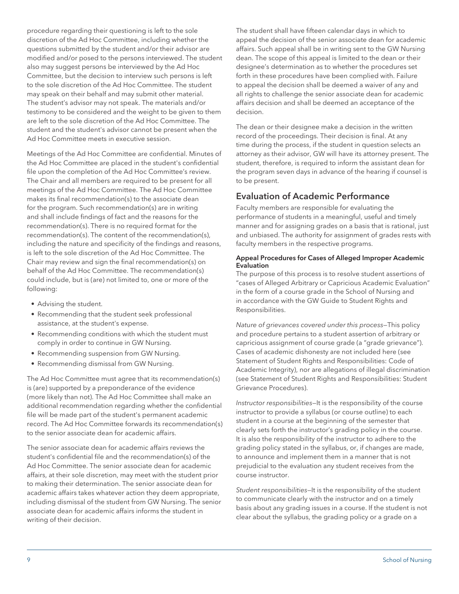procedure regarding their questioning is left to the sole discretion of the Ad Hoc Committee, including whether the questions submitted by the student and/or their advisor are modified and/or posed to the persons interviewed. The student also may suggest persons be interviewed by the Ad Hoc Committee, but the decision to interview such persons is left to the sole discretion of the Ad Hoc Committee. The student may speak on their behalf and may submit other material. The student's advisor may not speak. The materials and/or testimony to be considered and the weight to be given to them are left to the sole discretion of the Ad Hoc Committee. The student and the student's advisor cannot be present when the Ad Hoc Committee meets in executive session.

Meetings of the Ad Hoc Committee are confidential. Minutes of the Ad Hoc Committee are placed in the student's confidential file upon the completion of the Ad Hoc Committee's review. The Chair and all members are required to be present for all meetings of the Ad Hoc Committee. The Ad Hoc Committee makes its final recommendation(s) to the associate dean for the program. Such recommendation(s) are in writing and shall include findings of fact and the reasons for the recommendation(s). There is no required format for the recommendation(s). The content of the recommendation(s), including the nature and specificity of the findings and reasons, is left to the sole discretion of the Ad Hoc Committee. The Chair may review and sign the final recommendation(s) on behalf of the Ad Hoc Committee. The recommendation(s) could include, but is (are) not limited to, one or more of the following:

- Advising the student.
- Recommending that the student seek professional assistance, at the student's expense.
- Recommending conditions with which the student must comply in order to continue in GW Nursing.
- Recommending suspension from GW Nursing.
- Recommending dismissal from GW Nursing.

The Ad Hoc Committee must agree that its recommendation(s) is (are) supported by a preponderance of the evidence (more likely than not). The Ad Hoc Committee shall make an additional recommendation regarding whether the confidential file will be made part of the student's permanent academic record. The Ad Hoc Committee forwards its recommendation(s) to the senior associate dean for academic affairs.

The senior associate dean for academic affairs reviews the student's confidential file and the recommendation(s) of the Ad Hoc Committee. The senior associate dean for academic affairs, at their sole discretion, may meet with the student prior to making their determination. The senior associate dean for academic affairs takes whatever action they deem appropriate, including dismissal of the student from GW Nursing. The senior associate dean for academic affairs informs the student in writing of their decision.

The student shall have fifteen calendar days in which to appeal the decision of the senior associate dean for academic affairs. Such appeal shall be in writing sent to the GW Nursing dean. The scope of this appeal is limited to the dean or their designee's determination as to whether the procedures set forth in these procedures have been complied with. Failure to appeal the decision shall be deemed a waiver of any and all rights to challenge the senior associate dean for academic affairs decision and shall be deemed an acceptance of the decision.

The dean or their designee make a decision in the written record of the proceedings. Their decision is final. At any time during the process, if the student in question selects an attorney as their advisor, GW will have its attorney present. The student, therefore, is required to inform the assistant dean for the program seven days in advance of the hearing if counsel is to be present.

### <span id="page-8-0"></span>Evaluation of Academic Performance

Faculty members are responsible for evaluating the performance of students in a meaningful, useful and timely manner and for assigning grades on a basis that is rational, just and unbiased. The authority for assignment of grades rests with faculty members in the respective programs.

#### <span id="page-8-1"></span>Appeal Procedures for Cases of Alleged Improper Academic Evaluation

The purpose of this process is to resolve student assertions of "cases of Alleged Arbitrary or Capricious Academic Evaluation" in the form of a course grade in the School of Nursing and in accordance with the GW Guide to Student Rights and Responsibilities.

*Nature of grievances covered under this process*—This policy and procedure pertains to a student assertion of arbitrary or capricious assignment of course grade (a "grade grievance"). Cases of academic dishonesty are not included here (see Statement of Student Rights and Responsibilities: Code of Academic Integrity), nor are allegations of illegal discrimination (see Statement of Student Rights and Responsibilities: Student Grievance Procedures).

*Instructor responsibilities*—It is the responsibility of the course instructor to provide a syllabus (or course outline) to each student in a course at the beginning of the semester that clearly sets forth the instructor's grading policy in the course. It is also the responsibility of the instructor to adhere to the grading policy stated in the syllabus, or, if changes are made, to announce and implement them in a manner that is not prejudicial to the evaluation any student receives from the course instructor.

*Student responsibilities*—It is the responsibility of the student to communicate clearly with the instructor and on a timely basis about any grading issues in a course. If the student is not clear about the syllabus, the grading policy or a grade on a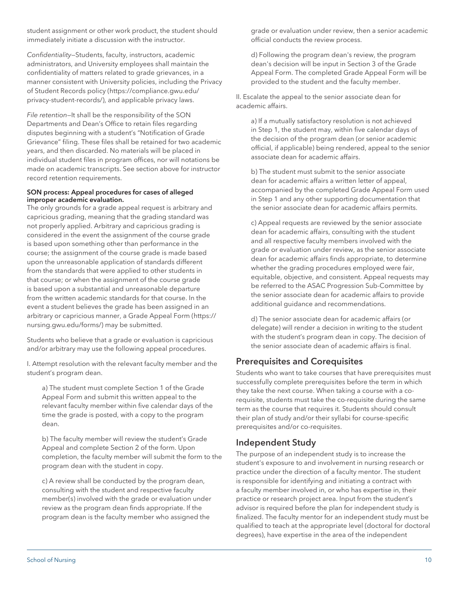student assignment or other work product, the student should immediately initiate a discussion with the instructor.

*Confidentiality*—Students, faculty, instructors, academic administrators, and University employees shall maintain the confidentiality of matters related to grade grievances, in a manner consistent with University policies, including the [Privacy](https://compliance.gwu.edu/privacy-student-records/) [of Student Records policy](https://compliance.gwu.edu/privacy-student-records/) [\(https://compliance.gwu.edu/](https://compliance.gwu.edu/privacy-student-records/) [privacy-student-records/\)](https://compliance.gwu.edu/privacy-student-records/), and applicable privacy laws.

*File retention*—It shall be the responsibility of the SON Departments and Dean's Office to retain files regarding disputes beginning with a student's "Notification of Grade Grievance" filing. These files shall be retained for two academic years, and then discarded. No materials will be placed in individual student files in program offices, nor will notations be made on academic transcripts. See section above for instructor record retention requirements.

#### SON process: Appeal procedures for cases of alleged improper academic evaluation.

The only grounds for a grade appeal request is arbitrary and capricious grading, meaning that the grading standard was not properly applied. Arbitrary and capricious grading is considered in the event the assignment of the course grade is based upon something other than performance in the course; the assignment of the course grade is made based upon the unreasonable application of standards different from the standards that were applied to other students in that course; or when the assignment of the course grade is based upon a substantial and unreasonable departure from the written academic standards for that course. In the event a student believes the grade has been assigned in an arbitrary or capricious manner, a [Grade Appeal Form](https://nursing.gwu.edu/forms/) [\(https://](https://nursing.gwu.edu/forms/) [nursing.gwu.edu/forms/](https://nursing.gwu.edu/forms/)) may be submitted.

Students who believe that a grade or evaluation is capricious and/or arbitrary may use the following appeal procedures.

I. Attempt resolution with the relevant faculty member and the student's program dean.

a) The student must complete Section 1 of the Grade Appeal Form and submit this written appeal to the relevant faculty member within five calendar days of the time the grade is posted, with a copy to the program dean.

b) The faculty member will review the student's Grade Appeal and complete Section 2 of the form. Upon completion, the faculty member will submit the form to the program dean with the student in copy.

c) A review shall be conducted by the program dean, consulting with the student and respective faculty member(s) involved with the grade or evaluation under review as the program dean finds appropriate. If the program dean is the faculty member who assigned the

grade or evaluation under review, then a senior academic official conducts the review process.

d) Following the program dean's review, the program dean's decision will be input in Section 3 of the Grade Appeal Form. The completed Grade Appeal Form will be provided to the student and the faculty member.

II. Escalate the appeal to the senior associate dean for academic affairs.

a) If a mutually satisfactory resolution is not achieved in Step 1, the student may, within five calendar days of the decision of the program dean (or senior academic official, if applicable) being rendered, appeal to the senior associate dean for academic affairs.

b) The student must submit to the senior associate dean for academic affairs a written letter of appeal, accompanied by the completed Grade Appeal Form used in Step 1 and any other supporting documentation that the senior associate dean for academic affairs permits.

c) Appeal requests are reviewed by the senior associate dean for academic affairs, consulting with the student and all respective faculty members involved with the grade or evaluation under review, as the senior associate dean for academic affairs finds appropriate, to determine whether the grading procedures employed were fair, equitable, objective, and consistent. Appeal requests may be referred to the ASAC Progression Sub-Committee by the senior associate dean for academic affairs to provide additional guidance and recommendations.

d) The senior associate dean for academic affairs (or delegate) will render a decision in writing to the student with the student's program dean in copy. The decision of the senior associate dean of academic affairs is final.

# <span id="page-9-0"></span>Prerequisites and Corequisites

Students who want to take courses that have prerequisites must successfully complete prerequisites before the term in which they take the next course. When taking a course with a corequisite, students must take the co-requisite during the same term as the course that requires it. Students should consult their plan of study and/or their syllabi for course-specific prerequisites and/or co-requisites.

# <span id="page-9-1"></span>Independent Study

The purpose of an independent study is to increase the student's exposure to and involvement in nursing research or practice under the direction of a faculty mentor. The student is responsible for identifying and initiating a contract with a faculty member involved in, or who has expertise in, their practice or research project area. Input from the student's advisor is required before the plan for independent study is finalized. The faculty mentor for an independent study must be qualified to teach at the appropriate level (doctoral for doctoral degrees), have expertise in the area of the independent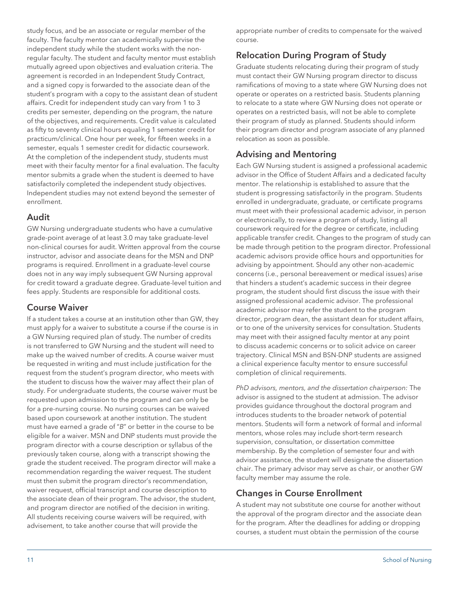study focus, and be an associate or regular member of the faculty. The faculty mentor can academically supervise the independent study while the student works with the nonregular faculty. The student and faculty mentor must establish mutually agreed upon objectives and evaluation criteria. The agreement is recorded in an Independent Study Contract, and a signed copy is forwarded to the associate dean of the student's program with a copy to the assistant dean of student affairs. Credit for independent study can vary from 1 to 3 credits per semester, depending on the program, the nature of the objectives, and requirements. Credit value is calculated as fifty to seventy clinical hours equaling 1 semester credit for practicum/clinical. One hour per week, for fifteen weeks in a semester, equals 1 semester credit for didactic coursework. At the completion of the independent study, students must meet with their faculty mentor for a final evaluation. The faculty mentor submits a grade when the student is deemed to have satisfactorily completed the independent study objectives. Independent studies may not extend beyond the semester of enrollment.

### <span id="page-10-0"></span>Audit

GW Nursing undergraduate students who have a cumulative grade-point average of at least 3.0 may take graduate-level non-clinical courses for audit. Written approval from the course instructor, advisor and associate deans for the MSN and DNP programs is required. Enrollment in a graduate-level course does not in any way imply subsequent GW Nursing approval for credit toward a graduate degree. Graduate-level tuition and fees apply. Students are responsible for additional costs.

# <span id="page-10-1"></span>Course Waiver

If a student takes a course at an institution other than GW, they must apply for a waiver to substitute a course if the course is in a GW Nursing required plan of study. The number of credits is not transferred to GW Nursing and the student will need to make up the waived number of credits. A course waiver must be requested in writing and must include justification for the request from the student's program director, who meets with the student to discuss how the waiver may affect their plan of study. For undergraduate students, the course waiver must be requested upon admission to the program and can only be for a pre-nursing course. No nursing courses can be waived based upon coursework at another institution. The student must have earned a grade of "*B*" or better in the course to be eligible for a waiver. MSN and DNP students must provide the program director with a course description or syllabus of the previously taken course, along with a transcript showing the grade the student received. The program director will make a recommendation regarding the waiver request. The student must then submit the program director's recommendation, waiver request, official transcript and course description to the associate dean of their program. The advisor, the student, and program director are notified of the decision in writing. All students receiving course waivers will be required, with advisement, to take another course that will provide the

appropriate number of credits to compensate for the waived course.

# <span id="page-10-2"></span>Relocation During Program of Study

Graduate students relocating during their program of study must contact their GW Nursing program director to discuss ramifications of moving to a state where GW Nursing does not operate or operates on a restricted basis. Students planning to relocate to a state where GW Nursing does not operate or operates on a restricted basis, will not be able to complete their program of study as planned. Students should inform their program director and program associate of any planned relocation as soon as possible.

# <span id="page-10-3"></span>Advising and Mentoring

Each GW Nursing student is assigned a professional academic advisor in the Office of Student Affairs and a dedicated faculty mentor. The relationship is established to assure that the student is progressing satisfactorily in the program. Students enrolled in undergraduate, graduate, or certificate programs must meet with their professional academic advisor, in person or electronically, to review a program of study, listing all coursework required for the degree or certificate, including applicable transfer credit. Changes to the program of study can be made through petition to the program director. Professional academic advisors provide office hours and opportunities for advising by appointment. Should any other non-academic concerns (i.e., personal bereavement or medical issues) arise that hinders a student's academic success in their degree program, the student should first discuss the issue with their assigned professional academic advisor. The professional academic advisor may refer the student to the program director, program dean, the assistant dean for student affairs, or to one of the university services for consultation. Students may meet with their assigned faculty mentor at any point to discuss academic concerns or to solicit advice on career trajectory. Clinical MSN and BSN-DNP students are assigned a clinical experience faculty mentor to ensure successful completion of clinical requirements.

*PhD advisors, mentors, and the dissertation chairperson:* The advisor is assigned to the student at admission. The advisor provides guidance throughout the doctoral program and introduces students to the broader network of potential mentors. Students will form a network of formal and informal mentors, whose roles may include short-term research supervision, consultation, or dissertation committee membership. By the completion of semester four and with advisor assistance, the student will designate the dissertation chair. The primary advisor may serve as chair, or another GW faculty member may assume the role.

# <span id="page-10-4"></span>Changes in Course Enrollment

A student may not substitute one course for another without the approval of the program director and the associate dean for the program. After the deadlines for adding or dropping courses, a student must obtain the permission of the course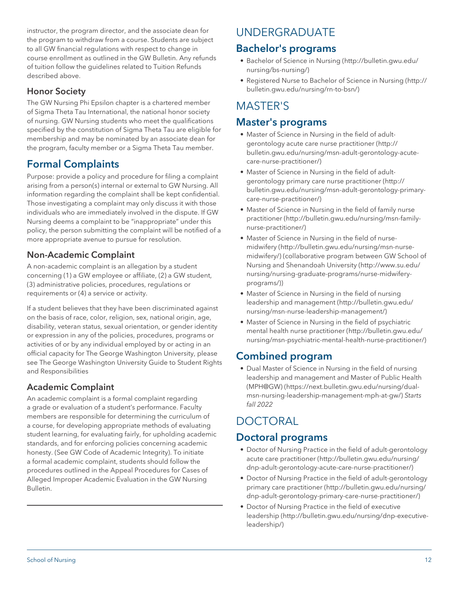instructor, the program director, and the associate dean for the program to withdraw from a course. Students are subject to all GW financial regulations with respect to change in course enrollment as outlined in the GW Bulletin. Any refunds of tuition follow the guidelines related to Tuition Refunds described above.

# <span id="page-11-0"></span>Honor Society

The GW Nursing Phi Epsilon chapter is a chartered member of Sigma Theta Tau International, the national honor society of nursing. GW Nursing students who meet the qualifications specified by the constitution of Sigma Theta Tau are eligible for membership and may be nominated by an associate dean for the program, faculty member or a Sigma Theta Tau member.

# Formal Complaints

Purpose: provide a policy and procedure for filing a complaint arising from a person(s) internal or external to GW Nursing. All information regarding the complaint shall be kept confidential. Those investigating a complaint may only discuss it with those individuals who are immediately involved in the dispute. If GW Nursing deems a complaint to be "inappropriate" under this policy, the person submitting the complaint will be notified of a more appropriate avenue to pursue for resolution.

# <span id="page-11-1"></span>Non-Academic Complaint

A non-academic complaint is an allegation by a student concerning (1) a GW employee or affiliate, (2) a GW student, (3) administrative policies, procedures, regulations or requirements or (4) a service or activity.

If a student believes that they have been discriminated against on the basis of race, color, religion, sex, national origin, age, disability, veteran status, sexual orientation, or gender identity or expression in any of the policies, procedures, programs or activities of or by any individual employed by or acting in an official capacity for The George Washington University, please see The George Washington University Guide to Student Rights and Responsibilities

# <span id="page-11-2"></span>Academic Complaint

An academic complaint is a formal complaint regarding a grade or evaluation of a student's performance. Faculty members are responsible for determining the curriculum of a course, for developing appropriate methods of evaluating student learning, for evaluating fairly, for upholding academic standards, and for enforcing policies concerning academic honesty. (See GW Code of Academic Integrity). To initiate a formal academic complaint, students should follow the procedures outlined in the Appeal Procedures for Cases of Alleged Improper Academic Evaluation in the GW Nursing Bulletin.

# UNDERGRADUATE

# Bachelor's programs

- [Bachelor of Science in Nursing](http://bulletin.gwu.edu/nursing/bs-nursing/) [\(http://bulletin.gwu.edu/](http://bulletin.gwu.edu/nursing/bs-nursing/) [nursing/bs-nursing/\)](http://bulletin.gwu.edu/nursing/bs-nursing/)
- [Registered Nurse to Bachelor of Science in Nursing](http://bulletin.gwu.edu/nursing/rn-to-bsn/) ([http://](http://bulletin.gwu.edu/nursing/rn-to-bsn/) [bulletin.gwu.edu/nursing/rn-to-bsn/\)](http://bulletin.gwu.edu/nursing/rn-to-bsn/)

# MASTER'S

# Master's programs

- [Master of Science in Nursing in the field of adult](http://bulletin.gwu.edu/nursing/msn-adult-gerontology-acute-care-nurse-practitioner/)[gerontology acute care nurse practitioner](http://bulletin.gwu.edu/nursing/msn-adult-gerontology-acute-care-nurse-practitioner/) ([http://](http://bulletin.gwu.edu/nursing/msn-adult-gerontology-acute-care-nurse-practitioner/) [bulletin.gwu.edu/nursing/msn-adult-gerontology-acute](http://bulletin.gwu.edu/nursing/msn-adult-gerontology-acute-care-nurse-practitioner/)[care-nurse-practitioner/](http://bulletin.gwu.edu/nursing/msn-adult-gerontology-acute-care-nurse-practitioner/))
- [Master of Science in Nursing in the field of adult](http://bulletin.gwu.edu/nursing/msn-adult-gerontology-primary-care-nurse-practitioner/)[gerontology primary care nurse practitioner](http://bulletin.gwu.edu/nursing/msn-adult-gerontology-primary-care-nurse-practitioner/) ([http://](http://bulletin.gwu.edu/nursing/msn-adult-gerontology-primary-care-nurse-practitioner/) [bulletin.gwu.edu/nursing/msn-adult-gerontology-primary](http://bulletin.gwu.edu/nursing/msn-adult-gerontology-primary-care-nurse-practitioner/)[care-nurse-practitioner/](http://bulletin.gwu.edu/nursing/msn-adult-gerontology-primary-care-nurse-practitioner/))
- [Master of Science in Nursing in the field of family nurse](http://bulletin.gwu.edu/nursing/msn-family-nurse-practitioner/) [practitioner](http://bulletin.gwu.edu/nursing/msn-family-nurse-practitioner/) ([http://bulletin.gwu.edu/nursing/msn-family](http://bulletin.gwu.edu/nursing/msn-family-nurse-practitioner/)[nurse-practitioner/\)](http://bulletin.gwu.edu/nursing/msn-family-nurse-practitioner/)
- [Master of Science in Nursing in the field of nurse](http://bulletin.gwu.edu/nursing/msn-nurse-midwifery/)[midwifery](http://bulletin.gwu.edu/nursing/msn-nurse-midwifery/) [\(http://bulletin.gwu.edu/nursing/msn-nurse](http://bulletin.gwu.edu/nursing/msn-nurse-midwifery/)[midwifery/\)](http://bulletin.gwu.edu/nursing/msn-nurse-midwifery/) (collaborative program between GW School of Nursing and [Shenandoah University](http://www.su.edu/nursing/nursing-graduate-programs/nurse-midwifery-programs/) [\(http://www.su.edu/](http://www.su.edu/nursing/nursing-graduate-programs/nurse-midwifery-programs/) [nursing/nursing-graduate-programs/nurse-midwifery](http://www.su.edu/nursing/nursing-graduate-programs/nurse-midwifery-programs/)[programs/](http://www.su.edu/nursing/nursing-graduate-programs/nurse-midwifery-programs/)))
- [Master of Science in Nursing in the field of nursing](http://bulletin.gwu.edu/nursing/msn-nurse-leadership-management/) [leadership and management](http://bulletin.gwu.edu/nursing/msn-nurse-leadership-management/) ([http://bulletin.gwu.edu/](http://bulletin.gwu.edu/nursing/msn-nurse-leadership-management/) [nursing/msn-nurse-leadership-management/\)](http://bulletin.gwu.edu/nursing/msn-nurse-leadership-management/)
- [Master of Science in Nursing in the field of psychiatric](http://bulletin.gwu.edu/nursing/msn-psychiatric-mental-health-nurse-practitioner/) [mental health nurse practitioner](http://bulletin.gwu.edu/nursing/msn-psychiatric-mental-health-nurse-practitioner/) ([http://bulletin.gwu.edu/](http://bulletin.gwu.edu/nursing/msn-psychiatric-mental-health-nurse-practitioner/) [nursing/msn-psychiatric-mental-health-nurse-practitioner/](http://bulletin.gwu.edu/nursing/msn-psychiatric-mental-health-nurse-practitioner/))

# Combined program

• [Dual Master of Science in Nursing in the field of nursing](https://next.bulletin.gwu.edu/nursing/dual-msn-nursing-leadership-management-mph-at-gw/) [leadership and management and Master of Public Health](https://next.bulletin.gwu.edu/nursing/dual-msn-nursing-leadership-management-mph-at-gw/) [\(MPH@GW\)](https://next.bulletin.gwu.edu/nursing/dual-msn-nursing-leadership-management-mph-at-gw/) ([https://next.bulletin.gwu.edu/nursing/dual](https://next.bulletin.gwu.edu/nursing/dual-msn-nursing-leadership-management-mph-at-gw/)[msn-nursing-leadership-management-mph-at-gw/\)](https://next.bulletin.gwu.edu/nursing/dual-msn-nursing-leadership-management-mph-at-gw/) *Starts fall 2022*

# DOCTORAL

# Doctoral programs

- [Doctor of Nursing Practice in the field of adult-gerontology](http://bulletin.gwu.edu/nursing/dnp-adult-gerontology-acute-care-nurse-practitioner/) [acute care practitioner](http://bulletin.gwu.edu/nursing/dnp-adult-gerontology-acute-care-nurse-practitioner/) [\(http://bulletin.gwu.edu/nursing/](http://bulletin.gwu.edu/nursing/dnp-adult-gerontology-acute-care-nurse-practitioner/) [dnp-adult-gerontology-acute-care-nurse-practitioner/\)](http://bulletin.gwu.edu/nursing/dnp-adult-gerontology-acute-care-nurse-practitioner/)
- [Doctor of Nursing Practice in the field of adult-gerontology](http://bulletin.gwu.edu/nursing/dnp-adult-gerontology-primary-care-nurse-practitioner/) [primary care practitioner](http://bulletin.gwu.edu/nursing/dnp-adult-gerontology-primary-care-nurse-practitioner/) [\(http://bulletin.gwu.edu/nursing/](http://bulletin.gwu.edu/nursing/dnp-adult-gerontology-primary-care-nurse-practitioner/) [dnp-adult-gerontology-primary-care-nurse-practitioner/\)](http://bulletin.gwu.edu/nursing/dnp-adult-gerontology-primary-care-nurse-practitioner/)
- [Doctor of Nursing Practice in the field of executive](http://bulletin.gwu.edu/nursing/dnp-executive-leadership/) [leadership](http://bulletin.gwu.edu/nursing/dnp-executive-leadership/) ([http://bulletin.gwu.edu/nursing/dnp-executive](http://bulletin.gwu.edu/nursing/dnp-executive-leadership/)[leadership/\)](http://bulletin.gwu.edu/nursing/dnp-executive-leadership/)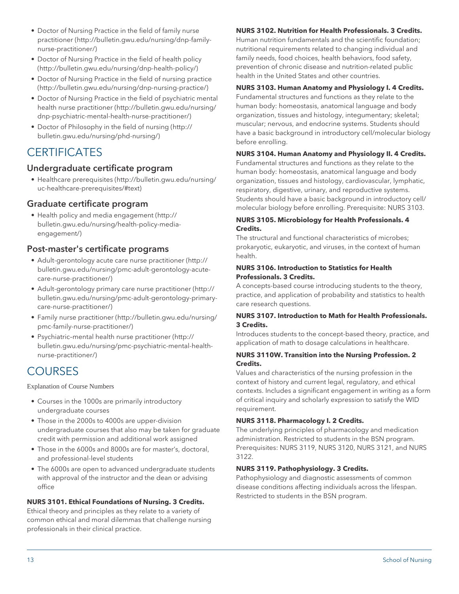- [Doctor of Nursing Practice in the field of family nurse](http://bulletin.gwu.edu/nursing/dnp-family-nurse-practitioner/) [practitioner](http://bulletin.gwu.edu/nursing/dnp-family-nurse-practitioner/) ([http://bulletin.gwu.edu/nursing/dnp-family](http://bulletin.gwu.edu/nursing/dnp-family-nurse-practitioner/)[nurse-practitioner/\)](http://bulletin.gwu.edu/nursing/dnp-family-nurse-practitioner/)
- [Doctor of Nursing Practice in the field of health policy](http://bulletin.gwu.edu/nursing/dnp-health-policy/) ([http://bulletin.gwu.edu/nursing/dnp-health-policy/\)](http://bulletin.gwu.edu/nursing/dnp-health-policy/)
- [Doctor of Nursing Practice in the field of nursing practice](http://bulletin.gwu.edu/nursing/dnp-nursing-practice/) (<http://bulletin.gwu.edu/nursing/dnp-nursing-practice/>)
- [Doctor of Nursing Practice in the field of psychiatric mental](http://bulletin.gwu.edu/nursing/dnp-psychiatric-mental-health-nurse-practitioner/) [health nurse practitioner](http://bulletin.gwu.edu/nursing/dnp-psychiatric-mental-health-nurse-practitioner/) [\(http://bulletin.gwu.edu/nursing/](http://bulletin.gwu.edu/nursing/dnp-psychiatric-mental-health-nurse-practitioner/) [dnp-psychiatric-mental-health-nurse-practitioner/](http://bulletin.gwu.edu/nursing/dnp-psychiatric-mental-health-nurse-practitioner/))
- [Doctor of Philosophy in the field of nursing](http://bulletin.gwu.edu/nursing/phd-nursing/) [\(http://](http://bulletin.gwu.edu/nursing/phd-nursing/) [bulletin.gwu.edu/nursing/phd-nursing/\)](http://bulletin.gwu.edu/nursing/phd-nursing/)

# **CERTIFICATES**

### Undergraduate certificate program

• [Healthcare prerequisites](http://bulletin.gwu.edu/nursing/uc-healthcare-prerequisites/#text) ([http://bulletin.gwu.edu/nursing/](http://bulletin.gwu.edu/nursing/uc-healthcare-prerequisites/#text) [uc-healthcare-prerequisites/#text](http://bulletin.gwu.edu/nursing/uc-healthcare-prerequisites/#text))

### Graduate certificate program

• [Health policy and media engagement](http://bulletin.gwu.edu/nursing/health-policy-media-engagement/) ([http://](http://bulletin.gwu.edu/nursing/health-policy-media-engagement/) [bulletin.gwu.edu/nursing/health-policy-media](http://bulletin.gwu.edu/nursing/health-policy-media-engagement/)[engagement/](http://bulletin.gwu.edu/nursing/health-policy-media-engagement/))

### Post-master's certificate programs

- [Adult-gerontology acute care nurse practitioner](http://bulletin.gwu.edu/nursing/pmc-adult-gerontology-acute-care-nurse-practitioner/) ([http://](http://bulletin.gwu.edu/nursing/pmc-adult-gerontology-acute-care-nurse-practitioner/) [bulletin.gwu.edu/nursing/pmc-adult-gerontology-acute](http://bulletin.gwu.edu/nursing/pmc-adult-gerontology-acute-care-nurse-practitioner/)[care-nurse-practitioner/](http://bulletin.gwu.edu/nursing/pmc-adult-gerontology-acute-care-nurse-practitioner/))
- [Adult-gerontology primary care nurse practitioner](http://bulletin.gwu.edu/nursing/pmc-adult-gerontology-primary-care-nurse-practitioner/) ([http://](http://bulletin.gwu.edu/nursing/pmc-adult-gerontology-primary-care-nurse-practitioner/) [bulletin.gwu.edu/nursing/pmc-adult-gerontology-primary](http://bulletin.gwu.edu/nursing/pmc-adult-gerontology-primary-care-nurse-practitioner/)[care-nurse-practitioner/](http://bulletin.gwu.edu/nursing/pmc-adult-gerontology-primary-care-nurse-practitioner/))
- [Family nurse practitioner](http://bulletin.gwu.edu/nursing/pmc-family-nurse-practitioner/) ([http://bulletin.gwu.edu/nursing/](http://bulletin.gwu.edu/nursing/pmc-family-nurse-practitioner/) [pmc-family-nurse-practitioner/\)](http://bulletin.gwu.edu/nursing/pmc-family-nurse-practitioner/)
- [Psychiatric–mental health nurse practitioner](http://bulletin.gwu.edu/nursing/pmc-psychiatric-mental-health-nurse-practitioner/) ([http://](http://bulletin.gwu.edu/nursing/pmc-psychiatric-mental-health-nurse-practitioner/) [bulletin.gwu.edu/nursing/pmc-psychiatric-mental-health](http://bulletin.gwu.edu/nursing/pmc-psychiatric-mental-health-nurse-practitioner/)[nurse-practitioner/\)](http://bulletin.gwu.edu/nursing/pmc-psychiatric-mental-health-nurse-practitioner/)

# **COURSES**

Explanation of Course Numbers

- Courses in the 1000s are primarily introductory undergraduate courses
- Those in the 2000s to 4000s are upper-division undergraduate courses that also may be taken for graduate credit with permission and additional work assigned
- Those in the 6000s and 8000s are for master's, doctoral, and professional-level students
- The 6000s are open to advanced undergraduate students with approval of the instructor and the dean or advising office

#### **NURS 3101. Ethical Foundations of Nursing. 3 Credits.**

Ethical theory and principles as they relate to a variety of common ethical and moral dilemmas that challenge nursing professionals in their clinical practice.

#### **NURS 3102. Nutrition for Health Professionals. 3 Credits.**

Human nutrition fundamentals and the scientific foundation; nutritional requirements related to changing individual and family needs, food choices, health behaviors, food safety, prevention of chronic disease and nutrition-related public health in the United States and other countries.

#### **NURS 3103. Human Anatomy and Physiology I. 4 Credits.**

Fundamental structures and functions as they relate to the human body: homeostasis, anatomical language and body organization, tissues and histology, integumentary; skeletal; muscular; nervous, and endocrine systems. Students should have a basic background in introductory cell/molecular biology before enrolling.

#### **NURS 3104. Human Anatomy and Physiology II. 4 Credits.**

Fundamental structures and functions as they relate to the human body: homeostasis, anatomical language and body organization, tissues and histology, cardiovascular, lymphatic, respiratory, digestive, urinary, and reproductive systems. Students should have a basic background in introductory cell/ molecular biology before enrolling. Prerequisite: NURS 3103.

#### **NURS 3105. Microbiology for Health Professionals. 4 Credits.**

The structural and functional characteristics of microbes; prokaryotic, eukaryotic, and viruses, in the context of human health.

#### **NURS 3106. Introduction to Statistics for Health Professionals. 3 Credits.**

A concepts-based course introducing students to the theory, practice, and application of probability and statistics to health care research questions.

#### **NURS 3107. Introduction to Math for Health Professionals. 3 Credits.**

Introduces students to the concept-based theory, practice, and application of math to dosage calculations in healthcare.

#### **NURS 3110W. Transition into the Nursing Profession. 2 Credits.**

Values and characteristics of the nursing profession in the context of history and current legal, regulatory, and ethical contexts. Includes a significant engagement in writing as a form of critical inquiry and scholarly expression to satisfy the WID requirement.

#### **NURS 3118. Pharmacology I. 2 Credits.**

The underlying principles of pharmacology and medication administration. Restricted to students in the BSN program. Prerequisites: NURS 3119, NURS 3120, NURS 3121, and NURS 3122.

#### **NURS 3119. Pathophysiology. 3 Credits.**

Pathophysiology and diagnostic assessments of common disease conditions affecting individuals across the lifespan. Restricted to students in the BSN program.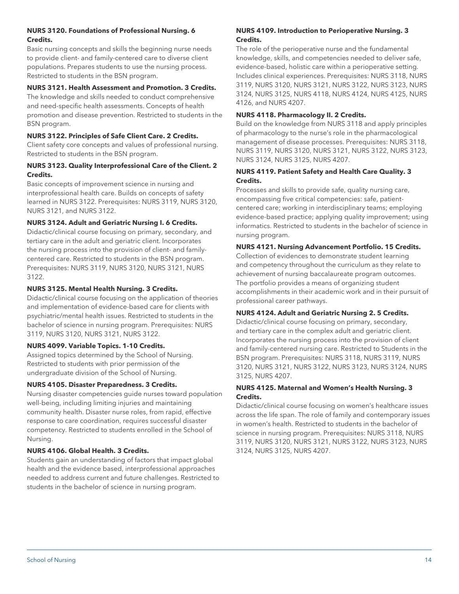#### **NURS 3120. Foundations of Professional Nursing. 6 Credits.**

Basic nursing concepts and skills the beginning nurse needs to provide client- and family-centered care to diverse client populations. Prepares students to use the nursing process. Restricted to students in the BSN program.

#### **NURS 3121. Health Assessment and Promotion. 3 Credits.**

The knowledge and skills needed to conduct comprehensive and need-specific health assessments. Concepts of health promotion and disease prevention. Restricted to students in the BSN program.

#### **NURS 3122. Principles of Safe Client Care. 2 Credits.**

Client safety core concepts and values of professional nursing. Restricted to students in the BSN program.

#### **NURS 3123. Quality Interprofessional Care of the Client. 2 Credits.**

Basic concepts of improvement science in nursing and interprofessional health care. Builds on concepts of safety learned in NURS 3122. Prerequisites: NURS 3119, NURS 3120, NURS 3121, and NURS 3122.

#### **NURS 3124. Adult and Geriatric Nursing I. 6 Credits.**

Didactic/clinical course focusing on primary, secondary, and tertiary care in the adult and geriatric client. Incorporates the nursing process into the provision of client- and familycentered care. Restricted to students in the BSN program. Prerequisites: NURS 3119, NURS 3120, NURS 3121, NURS 3122.

#### **NURS 3125. Mental Health Nursing. 3 Credits.**

Didactic/clinical course focusing on the application of theories and implementation of evidence-based care for clients with psychiatric/mental health issues. Restricted to students in the bachelor of science in nursing program. Prerequisites: NURS 3119, NURS 3120, NURS 3121, NURS 3122.

#### **NURS 4099. Variable Topics. 1-10 Credits.**

Assigned topics determined by the School of Nursing. Restricted to students with prior permission of the undergraduate division of the School of Nursing.

#### **NURS 4105. Disaster Preparedness. 3 Credits.**

Nursing disaster competencies guide nurses toward population well-being, including limiting injuries and maintaining community health. Disaster nurse roles, from rapid, effective response to care coordination, requires successful disaster competency. Restricted to students enrolled in the School of Nursing.

#### **NURS 4106. Global Health. 3 Credits.**

Students gain an understanding of factors that impact global health and the evidence based, interprofessional approaches needed to address current and future challenges. Restricted to students in the bachelor of science in nursing program.

#### **NURS 4109. Introduction to Perioperative Nursing. 3 Credits.**

The role of the perioperative nurse and the fundamental knowledge, skills, and competencies needed to deliver safe, evidence-based, holistic care within a perioperative setting. Includes clinical experiences. Prerequisites: NURS 3118, NURS 3119, NURS 3120, NURS 3121, NURS 3122, NURS 3123, NURS 3124, NURS 3125, NURS 4118, NURS 4124, NURS 4125, NURS 4126, and NURS 4207.

#### **NURS 4118. Pharmacology II. 2 Credits.**

Build on the knowledge from NURS 3118 and apply principles of pharmacology to the nurse's role in the pharmacological management of disease processes. Prerequisites: NURS 3118, NURS 3119, NURS 3120, NURS 3121, NURS 3122, NURS 3123, NURS 3124, NURS 3125, NURS 4207.

#### **NURS 4119. Patient Safety and Health Care Quality. 3 Credits.**

Processes and skills to provide safe, quality nursing care, encompassing five critical competencies: safe, patientcentered care; working in interdisciplinary teams; employing evidence-based practice; applying quality improvement; using informatics. Restricted to students in the bachelor of science in nursing program.

#### **NURS 4121. Nursing Advancement Portfolio. 15 Credits.**

Collection of evidences to demonstrate student learning and competency throughout the curriculum as they relate to achievement of nursing baccalaureate program outcomes. The portfolio provides a means of organizing student accomplishments in their academic work and in their pursuit of professional career pathways.

#### **NURS 4124. Adult and Geriatric Nursing 2. 5 Credits.**

Didactic/clinical course focusing on primary, secondary, and tertiary care in the complex adult and geriatric client. Incorporates the nursing process into the provision of client and family-centered nursing care. Restricted to Students in the BSN program. Prerequisites: NURS 3118, NURS 3119, NURS 3120, NURS 3121, NURS 3122, NURS 3123, NURS 3124, NURS 3125, NURS 4207.

#### **NURS 4125. Maternal and Women's Health Nursing. 3 Credits.**

Didactic/clinical course focusing on women's healthcare issues across the life span. The role of family and contemporary issues in women's health. Restricted to students in the bachelor of science in nursing program. Prerequisites: NURS 3118, NURS 3119, NURS 3120, NURS 3121, NURS 3122, NURS 3123, NURS 3124, NURS 3125, NURS 4207.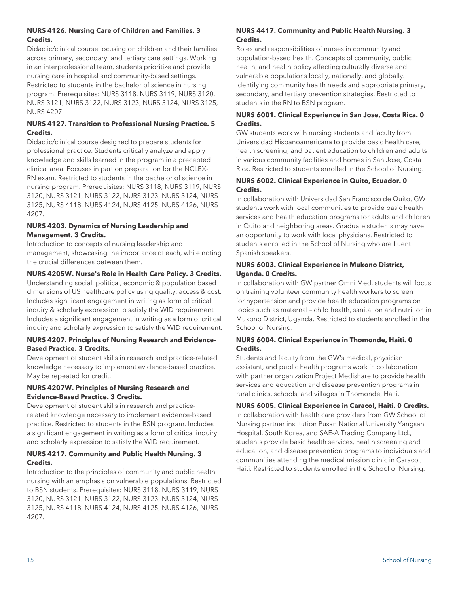#### **NURS 4126. Nursing Care of Children and Families. 3 Credits.**

Didactic/clinical course focusing on children and their families across primary, secondary, and tertiary care settings. Working in an interprofessional team, students prioritize and provide nursing care in hospital and community-based settings. Restricted to students in the bachelor of science in nursing program. Prerequisites: NURS 3118, NURS 3119, NURS 3120, NURS 3121, NURS 3122, NURS 3123, NURS 3124, NURS 3125, NURS 4207.

#### **NURS 4127. Transition to Professional Nursing Practice. 5 Credits.**

Didactic/clinical course designed to prepare students for professional practice. Students critically analyze and apply knowledge and skills learned in the program in a precepted clinical area. Focuses in part on preparation for the NCLEX-RN exam. Restricted to students in the bachelor of science in nursing program. Prerequisites: NURS 3118, NURS 3119, NURS 3120, NURS 3121, NURS 3122, NURS 3123, NURS 3124, NURS 3125, NURS 4118, NURS 4124, NURS 4125, NURS 4126, NURS 4207.

#### **NURS 4203. Dynamics of Nursing Leadership and Management. 3 Credits.**

Introduction to concepts of nursing leadership and management, showcasing the importance of each, while noting the crucial differences between them.

#### **NURS 4205W. Nurse's Role in Health Care Policy. 3 Credits.**

Understanding social, political, economic & population based dimensions of US healthcare policy using quality, access & cost. Includes significant engagement in writing as form of critical inquiry & scholarly expression to satisfy the WID requirement Includes a significant engagement in writing as a form of critical inquiry and scholarly expression to satisfy the WID requirement.

#### **NURS 4207. Principles of Nursing Research and Evidence-Based Practice. 3 Credits.**

Development of student skills in research and practice-related knowledge necessary to implement evidence-based practice. May be repeated for credit.

#### **NURS 4207W. Principles of Nursing Research and Evidence-Based Practice. 3 Credits.**

Development of student skills in research and practicerelated knowledge necessary to implement evidence-based practice. Restricted to students in the BSN program. Includes a significant engagement in writing as a form of critical inquiry and scholarly expression to satisfy the WID requirement.

#### **NURS 4217. Community and Public Health Nursing. 3 Credits.**

Introduction to the principles of community and public health nursing with an emphasis on vulnerable populations. Restricted to BSN students. Prerequisites: NURS 3118, NURS 3119, NURS 3120, NURS 3121, NURS 3122, NURS 3123, NURS 3124, NURS 3125, NURS 4118, NURS 4124, NURS 4125, NURS 4126, NURS 4207.

#### **NURS 4417. Community and Public Health Nursing. 3 Credits.**

Roles and responsibilities of nurses in community and population-based health. Concepts of community, public health, and health policy affecting culturally diverse and vulnerable populations locally, nationally, and globally. Identifying community health needs and appropriate primary, secondary, and tertiary prevention strategies. Restricted to students in the RN to BSN program.

#### **NURS 6001. Clinical Experience in San Jose, Costa Rica. 0 Credits.**

GW students work with nursing students and faculty from Universidad Hispanoamericana to provide basic health care, health screening, and patient education to children and adults in various community facilities and homes in San Jose, Costa Rica. Restricted to students enrolled in the School of Nursing.

#### **NURS 6002. Clinical Experience in Quito, Ecuador. 0 Credits.**

In collaboration with Universidad San Francisco de Quito, GW students work with local communities to provide basic health services and health education programs for adults and children in Quito and neighboring areas. Graduate students may have an opportunity to work with local physicians. Restricted to students enrolled in the School of Nursing who are fluent Spanish speakers.

#### **NURS 6003. Clinical Experience in Mukono District, Uganda. 0 Credits.**

In collaboration with GW partner Omni Med, students will focus on training volunteer community health workers to screen for hypertension and provide health education programs on topics such as maternal – child health, sanitation and nutrition in Mukono District, Uganda. Restricted to students enrolled in the School of Nursing.

#### **NURS 6004. Clinical Experience in Thomonde, Haiti. 0 Credits.**

Students and faculty from the GW's medical, physician assistant, and public health programs work in collaboration with partner organization Project Medishare to provide health services and education and disease prevention programs in rural clinics, schools, and villages in Thomonde, Haiti.

#### **NURS 6005. Clinical Experience in Caracol, Haiti. 0 Credits.**

In collaboration with health care providers from GW School of Nursing partner institution Pusan National University Yangsan Hospital, South Korea, and SAE-A Trading Company Ltd., students provide basic health services, health screening and education, and disease prevention programs to individuals and communities attending the medical mission clinic in Caracol, Haiti. Restricted to students enrolled in the School of Nursing.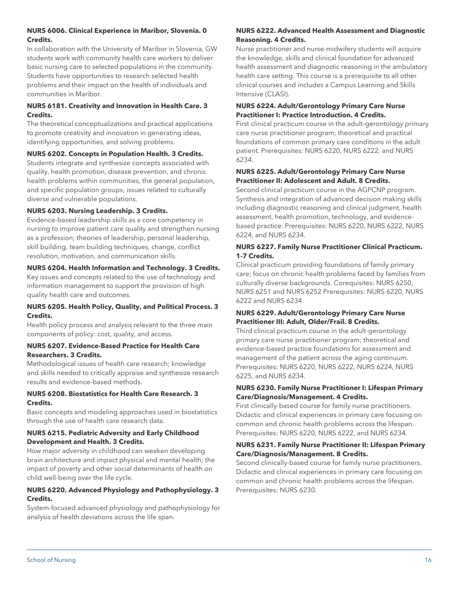#### **NURS 6006. Clinical Experience in Maribor, Slovenia. 0 Credits.**

In collaboration with the University of Maribor in Slovenia, GW students work with community health care workers to deliver basic nursing care to selected populations in the community. Students have opportunities to research selected health problems and their impact on the health of individuals and communities in Maribor.

#### **NURS 6181. Creativity and Innovation in Health Care. 3 Credits.**

The theoretical conceptualizations and practical applications to promote creativity and innovation in generating ideas, identifying opportunities, and solving problems.

#### **NURS 6202. Concepts in Population Health. 3 Credits.**

Students integrate and synthesize concepts associated with quality, health promotion, disease prevention, and chronic health problems within communities, the general population, and specific population groups; issues related to culturally diverse and vulnerable populations.

#### **NURS 6203. Nursing Leadership. 3 Credits.**

Evidence-based leadership skills as a core competency in nursing to improve patient care quality and strengthen nursing as a profession; theories of leadership, personal leadership, skill building, team building techniques, change, conflict resolution, motivation, and communication skills.

#### **NURS 6204. Health Information and Technology. 3 Credits.**

Key issues and concepts related to the use of technology and information management to support the provision of high quality health care and outcomes.

#### **NURS 6205. Health Policy, Quality, and Political Process. 3 Credits.**

Health policy process and analysis relevant to the three main components of policy: cost, quality, and access.

#### **NURS 6207. Evidence-Based Practice for Health Care Researchers. 3 Credits.**

Methodological issues of health care research; knowledge and skills needed to critically appraise and synthesize research results and evidence-based methods.

#### **NURS 6208. Biostatistics for Health Care Research. 3 Credits.**

Basic concepts and modeling approaches used in biostatistics through the use of health care research data.

#### **NURS 6215. Pediatric Adversity and Early Childhood Development and Health. 3 Credits.**

How major adversity in childhood can weaken developing brain architecture and impact physical and mental health; the impact of poverty and other social determinants of health on child well-being over the life cycle.

#### **NURS 6220. Advanced Physiology and Pathophysiology. 3 Credits.**

System-focused advanced physiology and pathophysiology for analysis of health deviations across the life span.

#### **NURS 6222. Advanced Health Assessment and Diagnostic Reasoning. 4 Credits.**

Nurse practitioner and nurse-midwifery students will acquire the knowledge, skills and clinical foundation for advanced health assessment and diagnostic reasoning in the ambulatory health care setting. This course is a prerequisite to all other clinical courses and includes a Campus Learning and Skills Intensive (CLASI).

#### **NURS 6224. Adult/Gerontology Primary Care Nurse Practitioner I: Practice Introduction. 4 Credits.**

First clinical practicum course in the adult-gerontology primary care nurse practitioner program; theoretical and practical foundations of common primary care conditions in the adult patient. Prerequisites: NURS 6220, NURS 6222, and NURS 6234.

#### **NURS 6225. Adult/Gerontology Primary Care Nurse Practitioner II: Adolescent and Adult. 8 Credits.**

Second clinical practicum course in the AGPCNP program. Synthesis and integration of advanced decision making skills including diagnostic reasoning and clinical judgment, health assessment, health promotion, technology, and evidencebased practice. Prerequisites: NURS 6220, NURS 6222, NURS 6224, and NURS 6234.

#### **NURS 6227. Family Nurse Practitioner Clinical Practicum. 1-7 Credits.**

Clinical practicum providing foundations of family primary care; focus on chronic health problems faced by families from culturally diverse backgrounds. Corequisites: NURS 6250, NURS 6251 and NURS 6252 Prerequisites: NURS 6220, NURS 6222 and NURS 6234.

#### **NURS 6229. Adult/Gerontology Primary Care Nurse Practitioner III: Adult, Older/Frail. 8 Credits.**

Third clinical practicum course in the adult-gerontology primary care nurse practitioner program; theoretical and evidence-based practice foundations for assessment and management of the patient across the aging continuum. Prerequisites: NURS 6220, NURS 6222, NURS 6224, NURS 6225, and NURS 6234.

#### **NURS 6230. Family Nurse Practitioner I: Lifespan Primary Care/Diagnosis/Management. 4 Credits.**

First clinically-based course for family nurse practitioners. Didactic and clinical experiences in primary care focusing on common and chronic health problems across the lifespan. Prerequisites: NURS 6220, NURS 6222, and NURS 6234.

#### **NURS 6231. Family Nurse Practitioner II: Lifespan Primary Care/Diagnosis/Management. 8 Credits.**

Second clinically-based course for family nurse practitioners. Didactic and clinical experiences in primary care focusing on common and chronic health problems across the lifespan. Prerequisites: NURS 6230.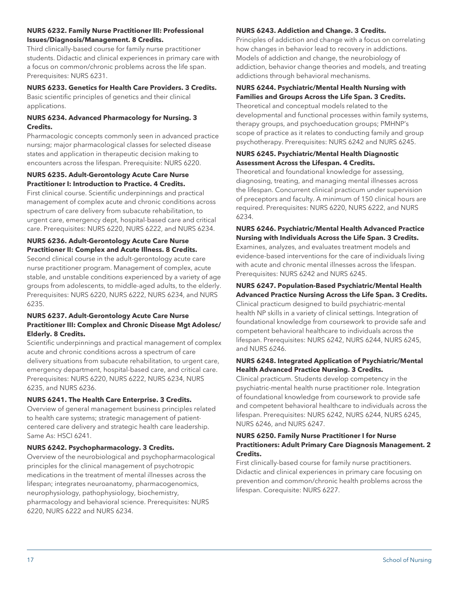#### **NURS 6232. Family Nurse Practitioner III: Professional Issues/Diagnosis/Management. 8 Credits.**

Third clinically-based course for family nurse practitioner students. Didactic and clinical experiences in primary care with a focus on common/chronic problems across the life span. Prerequisites: NURS 6231.

#### **NURS 6233. Genetics for Health Care Providers. 3 Credits.**

Basic scientific principles of genetics and their clinical applications.

#### **NURS 6234. Advanced Pharmacology for Nursing. 3 Credits.**

Pharmacologic concepts commonly seen in advanced practice nursing; major pharmacological classes for selected disease states and application in therapeutic decision making to encounters across the lifespan. Prerequisite: NURS 6220.

#### **NURS 6235. Adult-Gerontology Acute Care Nurse Practitioner I: Introduction to Practice. 4 Credits.**

First clinical course. Scientific underpinnings and practical management of complex acute and chronic conditions across spectrum of care delivery from subacute rehabilitation, to urgent care, emergency dept, hospital-based care and critical care. Prerequisites: NURS 6220, NURS 6222, and NURS 6234.

#### **NURS 6236. Adult-Gerontology Acute Care Nurse Practitioner II: Complex and Acute Illness. 8 Credits.**

Second clinical course in the adult-gerontology acute care nurse practitioner program. Management of complex, acute stable, and unstable conditions experienced by a variety of age groups from adolescents, to middle-aged adults, to the elderly. Prerequisites: NURS 6220, NURS 6222, NURS 6234, and NURS 6235.

#### **NURS 6237. Adult-Gerontology Acute Care Nurse Practitioner III: Complex and Chronic Disease Mgt Adolesc/ Elderly. 8 Credits.**

Scientific underpinnings and practical management of complex acute and chronic conditions across a spectrum of care delivery situations from subacute rehabilitation, to urgent care, emergency department, hospital-based care, and critical care. Prerequisites: NURS 6220, NURS 6222, NURS 6234, NURS 6235, and NURS 6236.

#### **NURS 6241. The Health Care Enterprise. 3 Credits.**

Overview of general management business principles related to health care systems; strategic management of patientcentered care delivery and strategic health care leadership. Same As: HSCI 6241.

#### **NURS 6242. Psychopharmacology. 3 Credits.**

Overview of the neurobiological and psychopharmacological principles for the clinical management of psychotropic medications in the treatment of mental illnesses across the lifespan; integrates neuroanatomy, pharmacogenomics, neurophysiology, pathophysiology, biochemistry, pharmacology and behavioral science. Prerequisites: NURS 6220, NURS 6222 and NURS 6234.

#### **NURS 6243. Addiction and Change. 3 Credits.**

Principles of addiction and change with a focus on correlating how changes in behavior lead to recovery in addictions. Models of addiction and change, the neurobiology of addiction, behavior change theories and models, and treating addictions through behavioral mechanisms.

#### **NURS 6244. Psychiatric/Mental Health Nursing with Families and Groups Across the Life Span. 3 Credits.**

Theoretical and conceptual models related to the developmental and functional processes within family systems, therapy groups, and psychoeducation groups; PMHNP's scope of practice as it relates to conducting family and group psychotherapy. Prerequisites: NURS 6242 and NURS 6245.

#### **NURS 6245. Psychiatric/Mental Health Diagnostic Assessment Across the Lifespan. 4 Credits.**

Theoretical and foundational knowledge for assessing, diagnosing, treating, and managing mental illnesses across the lifespan. Concurrent clinical practicum under supervision of preceptors and faculty. A minimum of 150 clinical hours are required. Prerequisites: NURS 6220, NURS 6222, and NURS 6234.

#### **NURS 6246. Psychiatric/Mental Health Advanced Practice Nursing with Individuals Across the Life Span. 3 Credits.**

Examines, analyzes, and evaluates treatment models and evidence-based interventions for the care of individuals living with acute and chronic mental illnesses across the lifespan. Prerequisites: NURS 6242 and NURS 6245.

# **NURS 6247. Population-Based Psychiatric/Mental Health**

**Advanced Practice Nursing Across the Life Span. 3 Credits.** Clinical practicum designed to build psychiatric-mental health NP skills in a variety of clinical settings. Integration of foundational knowledge from coursework to provide safe and competent behavioral healthcare to individuals across the lifespan. Prerequisites: NURS 6242, NURS 6244, NURS 6245, and NURS 6246.

#### **NURS 6248. Integrated Application of Psychiatric/Mental Health Advanced Practice Nursing. 3 Credits.**

Clinical practicum. Students develop competency in the psychiatric-mental health nurse practitioner role. Integration of foundational knowledge from coursework to provide safe and competent behavioral healthcare to individuals across the lifespan. Prerequisites: NURS 6242, NURS 6244, NURS 6245, NURS 6246, and NURS 6247.

#### **NURS 6250. Family Nurse Practitioner I for Nurse Practitioners: Adult Primary Care Diagnosis Management. 2 Credits.**

First clinically-based course for family nurse practitioners. Didactic and clinical experiences in primary care focusing on prevention and common/chronic health problems across the lifespan. Corequisite: NURS 6227.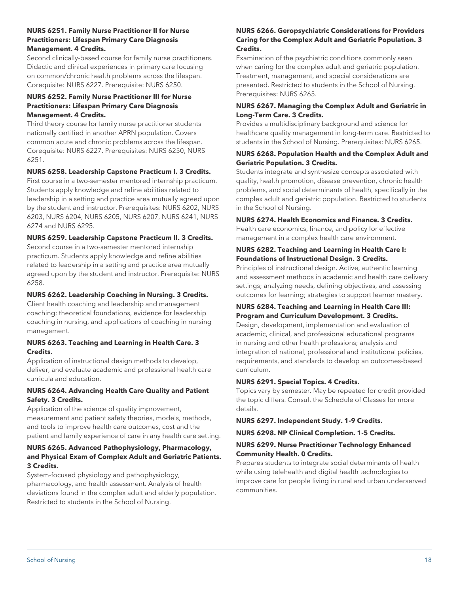#### **NURS 6251. Family Nurse Practitioner II for Nurse Practitioners: Lifespan Primary Care Diagnosis Management. 4 Credits.**

Second clinically-based course for family nurse practitioners. Didactic and clinical experiences in primary care focusing on common/chronic health problems across the lifespan. Corequisite: NURS 6227. Prerequisite: NURS 6250.

#### **NURS 6252. Family Nurse Practitioner III for Nurse Practitioners: Lifespan Primary Care Diagnosis Management. 4 Credits.**

Third theory course for family nurse practitioner students nationally certified in another APRN population. Covers common acute and chronic problems across the lifespan. Corequisite: NURS 6227. Prerequisites: NURS 6250, NURS 6251.

#### **NURS 6258. Leadership Capstone Practicum I. 3 Credits.**

First course in a two-semester mentored internship practicum. Students apply knowledge and refine abilities related to leadership in a setting and practice area mutually agreed upon by the student and instructor. Prerequisites: NURS 6202, NURS 6203, NURS 6204, NURS 6205, NURS 6207, NURS 6241, NURS 6274 and NURS 6295.

#### **NURS 6259. Leadership Capstone Practicum II. 3 Credits.**

Second course in a two-semester mentored internship practicum. Students apply knowledge and refine abilities related to leadership in a setting and practice area mutually agreed upon by the student and instructor. Prerequisite: NURS 6258.

#### **NURS 6262. Leadership Coaching in Nursing. 3 Credits.**

Client health coaching and leadership and management coaching; theoretical foundations, evidence for leadership coaching in nursing, and applications of coaching in nursing management.

#### **NURS 6263. Teaching and Learning in Health Care. 3 Credits.**

Application of instructional design methods to develop, deliver, and evaluate academic and professional health care curricula and education.

#### **NURS 6264. Advancing Health Care Quality and Patient Safety. 3 Credits.**

Application of the science of quality improvement, measurement and patient safety theories, models, methods, and tools to improve health care outcomes, cost and the patient and family experience of care in any health care setting.

#### **NURS 6265. Advanced Pathophysiology, Pharmacology, and Physical Exam of Complex Adult and Geriatric Patients. 3 Credits.**

System-focused physiology and pathophysiology, pharmacology, and health assessment. Analysis of health deviations found in the complex adult and elderly population. Restricted to students in the School of Nursing.

#### **NURS 6266. Geropsychiatric Considerations for Providers Caring for the Complex Adult and Geriatric Population. 3 Credits.**

Examination of the psychiatric conditions commonly seen when caring for the complex adult and geriatric population. Treatment, management, and special considerations are presented. Restricted to students in the School of Nursing. Prerequisites: NURS 6265.

#### **NURS 6267. Managing the Complex Adult and Geriatric in Long-Term Care. 3 Credits.**

Provides a multidisciplinary background and science for healthcare quality management in long-term care. Restricted to students in the School of Nursing. Prerequisites: NURS 6265.

#### **NURS 6268. Population Health and the Complex Adult and Geriatric Population. 3 Credits.**

Students integrate and synthesize concepts associated with quality, health promotion, disease prevention, chronic health problems, and social determinants of health, specifically in the complex adult and geriatric population. Restricted to students in the School of Nursing.

#### **NURS 6274. Health Economics and Finance. 3 Credits.**

Health care economics, finance, and policy for effective management in a complex health care environment.

#### **NURS 6282. Teaching and Learning in Health Care I: Foundations of Instructional Design. 3 Credits.**

Principles of instructional design. Active, authentic learning and assessment methods in academic and health care delivery settings; analyzing needs, defining objectives, and assessing outcomes for learning; strategies to support learner mastery.

#### **NURS 6284. Teaching and Learning in Health Care III: Program and Curriculum Development. 3 Credits.**

Design, development, implementation and evaluation of academic, clinical, and professional educational programs in nursing and other health professions; analysis and integration of national, professional and institutional policies, requirements, and standards to develop an outcomes-based curriculum.

#### **NURS 6291. Special Topics. 4 Credits.**

Topics vary by semester. May be repeated for credit provided the topic differs. Consult the Schedule of Classes for more details.

**NURS 6297. Independent Study. 1-9 Credits.**

**NURS 6298. NP Clinical Completion. 1-5 Credits.**

#### **NURS 6299. Nurse Practitioner Technology Enhanced Community Health. 0 Credits.**

Prepares students to integrate social determinants of health while using telehealth and digital health technologies to improve care for people living in rural and urban underserved communities.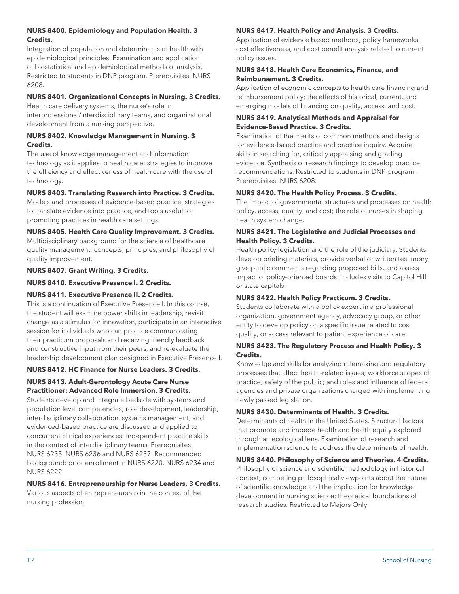#### **NURS 8400. Epidemiology and Population Health. 3 Credits.**

Integration of population and determinants of health with epidemiological principles. Examination and application of biostatistical and epidemiological methods of analysis. Restricted to students in DNP program. Prerequisites: NURS 6208.

#### **NURS 8401. Organizational Concepts in Nursing. 3 Credits.**

Health care delivery systems, the nurse's role in interprofessional/interdisciplinary teams, and organizational development from a nursing perspective.

#### **NURS 8402. Knowledge Management in Nursing. 3 Credits.**

The use of knowledge management and information technology as it applies to health care; strategies to improve the efficiency and effectiveness of health care with the use of technology.

#### **NURS 8403. Translating Research into Practice. 3 Credits.**

Models and processes of evidence-based practice, strategies to translate evidence into practice, and tools useful for promoting practices in health care settings.

#### **NURS 8405. Health Care Quality Improvement. 3 Credits.**

Multidisciplinary background for the science of healthcare quality management; concepts, principles, and philosophy of quality improvement.

#### **NURS 8407. Grant Writing. 3 Credits.**

#### **NURS 8410. Executive Presence I. 2 Credits.**

#### **NURS 8411. Executive Presence II. 2 Credits.**

This is a continuation of Executive Presence I. In this course, the student will examine power shifts in leadership, revisit change as a stimulus for innovation, participate in an interactive session for individuals who can practice communicating their practicum proposals and receiving friendly feedback and constructive input from their peers, and re-evaluate the leadership development plan designed in Executive Presence I.

#### **NURS 8412. HC Finance for Nurse Leaders. 3 Credits.**

### **NURS 8413. Adult-Gerontology Acute Care Nurse Practitioner: Advanced Role Immersion. 3 Credits.**

Students develop and integrate bedside with systems and population level competencies; role development, leadership, interdisciplinary collaboration, systems management, and evidenced-based practice are discussed and applied to concurrent clinical experiences; independent practice skills in the context of interdisciplinary teams. Prerequisites: NURS 6235, NURS 6236 and NURS 6237. Recommended background: prior enrollment in NURS 6220, NURS 6234 and NURS 6222.

#### **NURS 8416. Entrepreneurship for Nurse Leaders. 3 Credits.** Various aspects of entrepreneurship in the context of the nursing profession.

#### **NURS 8417. Health Policy and Analysis. 3 Credits.**

Application of evidence based methods, policy frameworks, cost effectiveness, and cost benefit analysis related to current policy issues.

#### **NURS 8418. Health Care Economics, Finance, and Reimbursement. 3 Credits.**

Application of economic concepts to health care financing and reimbursement policy; the effects of historical, current, and emerging models of financing on quality, access, and cost.

#### **NURS 8419. Analytical Methods and Appraisal for Evidence-Based Practice. 3 Credits.**

Examination of the merits of common methods and designs for evidence-based practice and practice inquiry. Acquire skills in searching for, critically appraising and grading evidence. Synthesis of research findings to develop practice recommendations. Restricted to students in DNP program. Prerequisites: NURS 6208.

#### **NURS 8420. The Health Policy Process. 3 Credits.**

The impact of governmental structures and processes on health policy, access, quality, and cost; the role of nurses in shaping health system change.

#### **NURS 8421. The Legislative and Judicial Processes and Health Policy. 3 Credits.**

Health policy legislation and the role of the judiciary. Students develop briefing materials, provide verbal or written testimony, give public comments regarding proposed bills, and assess impact of policy-oriented boards. Includes visits to Capitol Hill or state capitals.

#### **NURS 8422. Health Policy Practicum. 3 Credits.**

Students collaborate with a policy expert in a professional organization, government agency, advocacy group, or other entity to develop policy on a specific issue related to cost, quality, or access relevant to patient experience of care.

#### **NURS 8423. The Regulatory Process and Health Policy. 3 Credits.**

Knowledge and skills for analyzing rulemaking and regulatory processes that affect health-related issues; workforce scopes of practice; safety of the public; and roles and influence of federal agencies and private organizations charged with implementing newly passed legislation.

#### **NURS 8430. Determinants of Health. 3 Credits.**

Determinants of health in the United States. Structural factors that promote and impede health and health equity explored through an ecological lens. Examination of research and implementation science to address the determinants of health.

#### **NURS 8440. Philosophy of Science and Theories. 4 Credits.**

Philosophy of science and scientific methodology in historical context; competing philosophical viewpoints about the nature of scientific knowledge and the implication for knowledge development in nursing science; theoretical foundations of research studies. Restricted to Majors Only.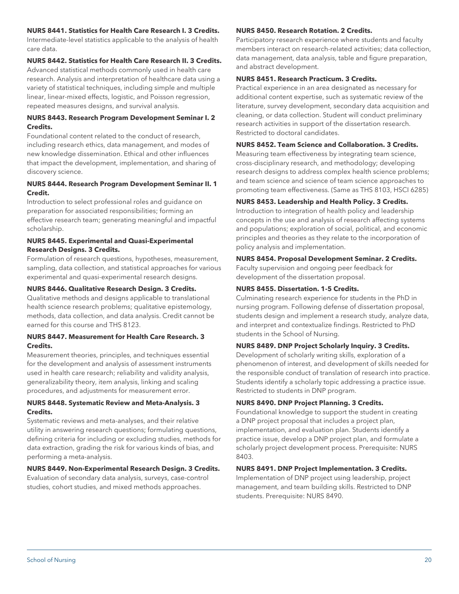#### **NURS 8441. Statistics for Health Care Research I. 3 Credits.**

Intermediate-level statistics applicable to the analysis of health care data.

#### **NURS 8442. Statistics for Health Care Research II. 3 Credits.**

Advanced statistical methods commonly used in health care research. Analysis and interpretation of healthcare data using a variety of statistical techniques, including simple and multiple linear, linear-mixed effects, logistic, and Poisson regression, repeated measures designs, and survival analysis.

#### **NURS 8443. Research Program Development Seminar I. 2 Credits.**

Foundational content related to the conduct of research, including research ethics, data management, and modes of new knowledge dissemination. Ethical and other influences that impact the development, implementation, and sharing of discovery science.

#### **NURS 8444. Research Program Development Seminar II. 1 Credit.**

Introduction to select professional roles and guidance on preparation for associated responsibilities; forming an effective research team; generating meaningful and impactful scholarship.

#### **NURS 8445. Experimental and Quasi-Experimental Research Designs. 3 Credits.**

Formulation of research questions, hypotheses, measurement, sampling, data collection, and statistical approaches for various experimental and quasi-experimental research designs.

#### **NURS 8446. Qualitative Research Design. 3 Credits.**

Qualitative methods and designs applicable to translational health science research problems; qualitative epistemology, methods, data collection, and data analysis. Credit cannot be earned for this course and THS 8123.

#### **NURS 8447. Measurement for Health Care Research. 3 Credits.**

Measurement theories, principles, and techniques essential for the development and analysis of assessment instruments used in health care research; reliability and validity analysis, generalizability theory, item analysis, linking and scaling procedures, and adjustments for measurement error.

#### **NURS 8448. Systematic Review and Meta-Analysis. 3 Credits.**

Systematic reviews and meta-analyses, and their relative utility in answering research questions; formulating questions, defining criteria for including or excluding studies, methods for data extraction, grading the risk for various kinds of bias, and performing a meta-analysis.

#### **NURS 8449. Non-Experimental Research Design. 3 Credits.**

Evaluation of secondary data analysis, surveys, case-control studies, cohort studies, and mixed methods approaches.

#### **NURS 8450. Research Rotation. 2 Credits.**

Participatory research experience where students and faculty members interact on research-related activities; data collection, data management, data analysis, table and figure preparation, and abstract development.

#### **NURS 8451. Research Practicum. 3 Credits.**

Practical experience in an area designated as necessary for additional content expertise, such as systematic review of the literature, survey development, secondary data acquisition and cleaning, or data collection. Student will conduct preliminary research activities in support of the dissertation research. Restricted to doctoral candidates.

#### **NURS 8452. Team Science and Collaboration. 3 Credits.**

Measuring team effectiveness by integrating team science, cross-disciplinary research, and methodology; developing research designs to address complex health science problems; and team science and science of team science approaches to promoting team effectiveness. (Same as THS 8103, HSCI 6285)

#### **NURS 8453. Leadership and Health Policy. 3 Credits.**

Introduction to integration of health policy and leadership concepts in the use and analysis of research affecting systems and populations; exploration of social, political, and economic principles and theories as they relate to the incorporation of policy analysis and implementation.

#### **NURS 8454. Proposal Development Seminar. 2 Credits.**

Faculty supervision and ongoing peer feedback for development of the dissertation proposal.

#### **NURS 8455. Dissertation. 1-5 Credits.**

Culminating research experience for students in the PhD in nursing program. Following defense of dissertation proposal, students design and implement a research study, analyze data, and interpret and contextualize findings. Restricted to PhD students in the School of Nursing.

#### **NURS 8489. DNP Project Scholarly Inquiry. 3 Credits.**

Development of scholarly writing skills, exploration of a phenomenon of interest, and development of skills needed for the responsible conduct of translation of research into practice. Students identify a scholarly topic addressing a practice issue. Restricted to students in DNP program.

#### **NURS 8490. DNP Project Planning. 3 Credits.**

Foundational knowledge to support the student in creating a DNP project proposal that includes a project plan, implementation, and evaluation plan. Students identify a practice issue, develop a DNP project plan, and formulate a scholarly project development process. Prerequisite: NURS 8403.

#### **NURS 8491. DNP Project Implementation. 3 Credits.**

Implementation of DNP project using leadership, project management, and team building skills. Restricted to DNP students. Prerequisite: NURS 8490.